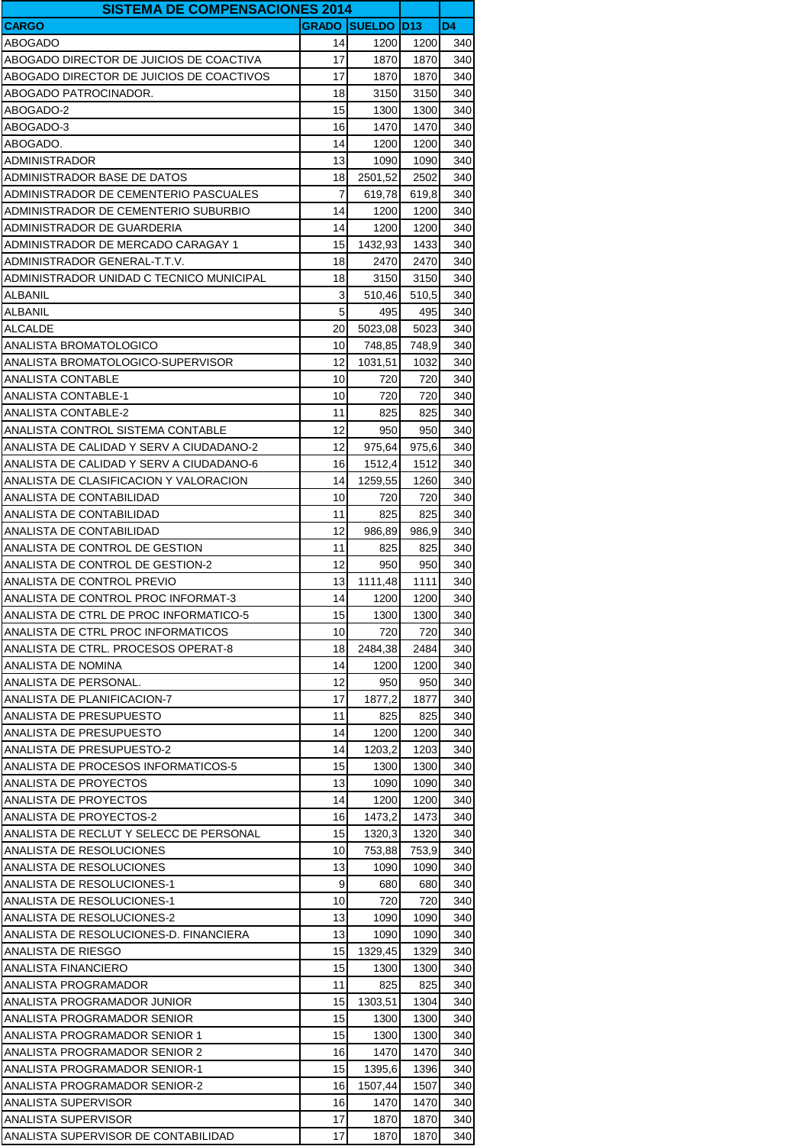| <b>SISTEMA DE COMPENSACIONES 2014</b>    |              |                   |       |                |
|------------------------------------------|--------------|-------------------|-------|----------------|
| <b>CARGO</b>                             | <b>GRADO</b> | <b>SUELDO D13</b> |       | D <sub>4</sub> |
| <b>ABOGADO</b>                           | 14           | 1200              | 1200  | 340            |
| ABOGADO DIRECTOR DE JUICIOS DE COACTIVA  | 17           | 1870              | 1870  | 340            |
| ABOGADO DIRECTOR DE JUICIOS DE COACTIVOS | 17           | 1870              | 1870  | 340            |
| ABOGADO PATROCINADOR.                    | 18           | 3150              | 3150  | 340            |
| ABOGADO-2                                | 15           | 1300              | 1300  | 340            |
| ABOGADO-3                                | 16           | 1470              | 1470  | 340            |
| ABOGADO.                                 | 14           | 1200              | 1200  | 340            |
| ADMINISTRADOR                            | 13           | 1090              | 1090  | 340            |
| ADMINISTRADOR BASE DE DATOS              | 18           | 2501,52           | 2502  | 340            |
|                                          | 7            |                   |       |                |
| ADMINISTRADOR DE CEMENTERIO PASCUALES    |              | 619,78            | 619,8 | 340            |
| ADMINISTRADOR DE CEMENTERIO SUBURBIO     | 14           | 1200              | 1200  | 340            |
| ADMINISTRADOR DE GUARDERIA               | 14           | 1200              | 1200  | 340            |
| ADMINISTRADOR DE MERCADO CARAGAY 1       | 15           | 1432,93           | 1433  | 340            |
| ADMINISTRADOR GENERAL-T.T.V.             | 18           | 2470              | 2470  | 340            |
| ADMINISTRADOR UNIDAD C TECNICO MUNICIPAL | 18           | 3150              | 3150  | 340            |
| ALBANIL                                  | 3            | 510,46            | 510,5 | 340            |
| ALBANIL                                  | 5            | 495               | 495   | 340            |
| ALCALDE                                  | 20           | 5023,08           | 5023  | 340            |
| ANALISTA BROMATOLOGICO                   | 10           | 748,85            | 748,9 | 340            |
| ANALISTA BROMATOLOGICO-SUPERVISOR        | 12           | 1031,51           | 1032  | 340            |
| ANALISTA CONTABLE                        | 10           | 720               | 720   | 340            |
| <b>ANALISTA CONTABLE-1</b>               | 10           | 720               | 720   | 340            |
| ANALISTA CONTABLE-2                      | 11           | 825               | 825   | 340            |
| ANALISTA CONTROL SISTEMA CONTABLE        | 12           | 950               | 950   | 340            |
| ANALISTA DE CALIDAD Y SERV A CIUDADANO-2 | 12           | 975,64            | 975,6 | 340            |
| ANALISTA DE CALIDAD Y SERV A CIUDADANO-6 | 16           | 1512,4            | 1512  | 340            |
| ANALISTA DE CLASIFICACION Y VALORACION   | 14           | 1259,55           | 1260  | 340            |
| ANALISTA DE CONTABILIDAD                 | 10           | 720               | 720   | 340            |
| ANALISTA DE CONTABILIDAD                 | 11           | 825               | 825   | 340            |
| ANALISTA DE CONTABILIDAD                 | 12           | 986,89            | 986,9 | 340            |
|                                          |              |                   |       |                |
| ANALISTA DE CONTROL DE GESTION           | 11           | 825               | 825   | 340            |
| ANALISTA DE CONTROL DE GESTION-2         | 12           | 950               | 950   | 340            |
| ANALISTA DE CONTROL PREVIO               | 13           | 1111,48           | 1111  | 340            |
| ANALISTA DE CONTROL PROC INFORMAT-3      | 14           | 1200              | 1200  | 340            |
| ANALISTA DE CTRL DE PROC INFORMATICO-5   | 15           | 1300              | 1300  | 340            |
| ANALISTA DE CTRL PROC INFORMATICOS       | 10           | 720               | 720   | 340            |
| ANALISTA DE CTRL. PROCESOS OPERAT-8      | 18           | 2484,38           | 2484  | 340            |
| ANALISTA DE NOMINA                       | 14           | 1200              | 1200  | 340            |
| ANALISTA DE PERSONAL.                    | 12           | 950               | 950   | 340            |
| ANALISTA DE PLANIFICACION-7              | 17           | 1877,2            | 1877  | 340            |
| ANALISTA DE PRESUPUESTO                  | 11           | 825               | 825   | 340            |
| ANALISTA DE PRESUPUESTO                  | 14           | 1200              | 1200  | 340            |
| ANALISTA DE PRESUPUESTO-2                | 14           | 1203,2            | 1203  | 340            |
| ANALISTA DE PROCESOS INFORMATICOS-5      | 15           | 1300              | 1300  | 340            |
| ANALISTA DE PROYECTOS                    | 13           | 1090              | 1090  | 340            |
| ANALISTA DE PROYECTOS                    | 14           | 1200              | 1200  | 340            |
| ANALISTA DE PROYECTOS-2                  | 16           | 1473,2            | 1473  | 340            |
| ANALISTA DE RECLUT Y SELECC DE PERSONAL  | 15           | 1320,3            | 1320  | 340            |
| ANALISTA DE RESOLUCIONES                 | 10           | 753,88            | 753,9 | 340            |
| ANALISTA DE RESOLUCIONES                 | 13           | 1090              | 1090  | 340            |
| ANALISTA DE RESOLUCIONES-1               | 9            | 680               | 680   | 340            |
| ANALISTA DE RESOLUCIONES-1               | 10           | 720               | 720   | 340            |
| ANALISTA DE RESOLUCIONES-2               | 13           | 1090              | 1090  | 340            |
| ANALISTA DE RESOLUCIONES-D. FINANCIERA   | 13           | 1090              | 1090  | 340            |
|                                          |              |                   |       |                |
| ANALISTA DE RIESGO                       | 15           | 1329,45           | 1329  | 340            |
| ANALISTA FINANCIERO                      | 15           | 1300              | 1300  | 340            |
| ANALISTA PROGRAMADOR                     | 11           | 825               | 825   | 340            |
| ANALISTA PROGRAMADOR JUNIOR              | 15           | 1303,51           | 1304  | 340            |
| ANALISTA PROGRAMADOR SENIOR              | 15           | 1300              | 1300  | 340            |
| ANALISTA PROGRAMADOR SENIOR 1            | 15           | 1300              | 1300  | 340            |
| ANALISTA PROGRAMADOR SENIOR 2            | 16           | 1470              | 1470  | 340            |
| ANALISTA PROGRAMADOR SENIOR-1            | 15           | 1395,6            | 1396  | 340            |
| ANALISTA PROGRAMADOR SENIOR-2            | 16           | 1507,44           | 1507  | 340            |
| <b>ANALISTA SUPERVISOR</b>               | 16           | 1470              | 1470  | 340            |
| <b>ANALISTA SUPERVISOR</b>               | 17           | 1870              | 1870  | 340            |
| ANALISTA SUPERVISOR DE CONTABILIDAD      | 17           | 1870              | 1870  | 340            |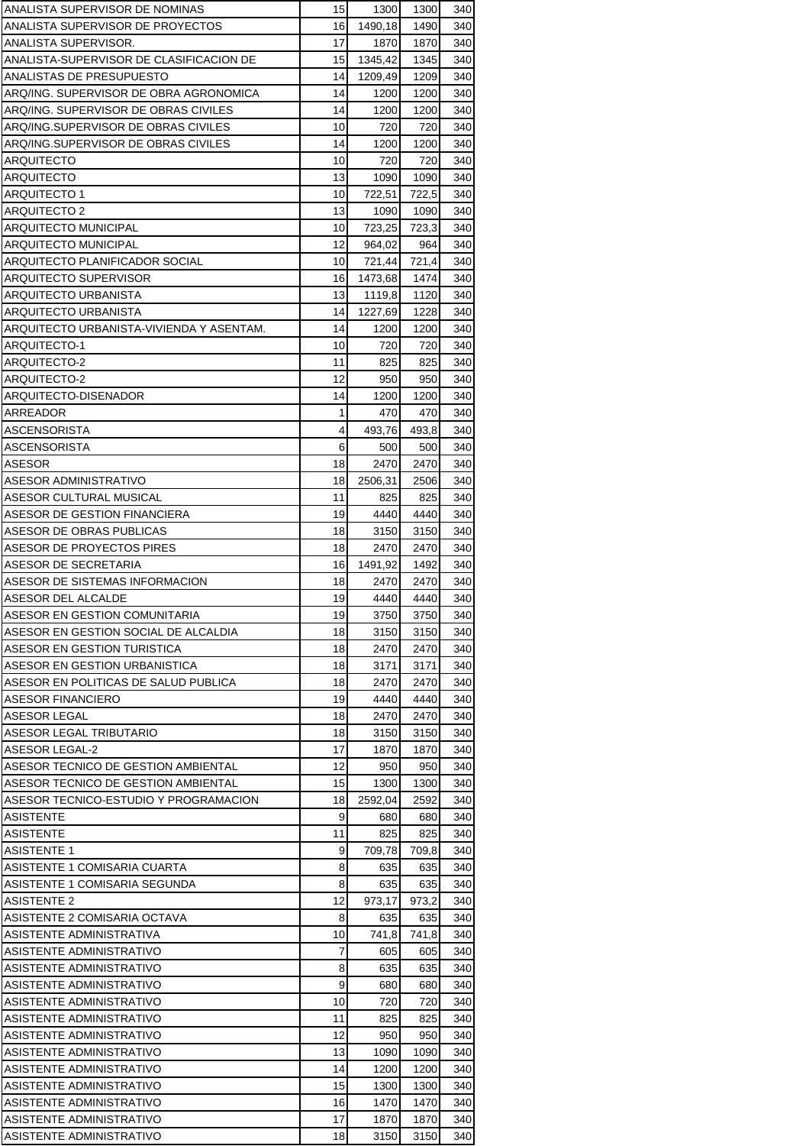| ANALISTA SUPERVISOR DE NOMINAS           | 15 | 1300    | 1300  | 340 |
|------------------------------------------|----|---------|-------|-----|
| ANALISTA SUPERVISOR DE PROYECTOS         | 16 | 1490,18 | 1490  | 340 |
| ANALISTA SUPERVISOR.                     | 17 | 1870    | 1870  | 340 |
| ANALISTA-SUPERVISOR DE CLASIFICACION DE  | 15 | 1345,42 | 1345  | 340 |
| ANALISTAS DE PRESUPUESTO                 | 14 | 1209,49 | 1209  | 340 |
| ARQ/ING. SUPERVISOR DE OBRA AGRONOMICA   | 14 | 1200    | 1200  | 340 |
| ARQ/ING. SUPERVISOR DE OBRAS CIVILES     | 14 | 1200    | 1200  | 340 |
| ARQ/ING.SUPERVISOR DE OBRAS CIVILES      | 10 | 720     | 720   | 340 |
| ARQ/ING.SUPERVISOR DE OBRAS CIVILES      | 14 | 1200    | 1200  | 340 |
| ARQUITECTO                               | 10 | 720     | 720   | 340 |
| ARQUITECTO                               | 13 | 1090    | 1090  | 340 |
| ARQUITECTO 1                             | 10 | 722,51  | 722,5 | 340 |
| ARQUITECTO 2                             | 13 | 1090    | 1090  | 340 |
| ARQUITECTO MUNICIPAL                     | 10 | 723,25  | 723,3 | 340 |
| ARQUITECTO MUNICIPAL                     | 12 | 964,02  | 964   | 340 |
| ARQUITECTO PLANIFICADOR SOCIAL           | 10 | 721,44  | 721,4 | 340 |
| ARQUITECTO SUPERVISOR                    | 16 | 1473,68 | 1474  | 340 |
| ARQUITECTO URBANISTA                     | 13 | 1119,8  | 1120  | 340 |
| ARQUITECTO URBANISTA                     | 14 | 1227,69 | 1228  | 340 |
| ARQUITECTO URBANISTA-VIVIENDA Y ASENTAM. | 14 | 1200    | 1200  | 340 |
| <b>ARQUITECTO-1</b>                      | 10 | 720     | 720   | 340 |
| ARQUITECTO-2                             | 11 | 825     | 825   | 340 |
| ARQUITECTO-2                             | 12 | 950     | 950   | 340 |
| ARQUITECTO-DISENADOR                     | 14 | 1200    | 1200  | 340 |
| ARREADOR                                 | 1  | 470     | 470   | 340 |
| <b>ASCENSORISTA</b>                      | 4  | 493,76  | 493,8 | 340 |
| ASCENSORISTA                             | 6  | 500     | 500   | 340 |
| ASESOR                                   | 18 | 2470    | 2470  | 340 |
| ASESOR ADMINISTRATIVO                    | 18 | 2506,31 | 2506  | 340 |
| ASESOR CULTURAL MUSICAL                  | 11 | 825     | 825   | 340 |
| ASESOR DE GESTION FINANCIERA             | 19 | 4440    | 4440  | 340 |
| ASESOR DE OBRAS PUBLICAS                 | 18 | 3150    | 3150  | 340 |
| ASESOR DE PROYECTOS PIRES                | 18 | 2470    | 2470  | 340 |
| ASESOR DE SECRETARIA                     | 16 | 1491,92 | 1492  | 340 |
| ASESOR DE SISTEMAS INFORMACION           | 18 | 2470    | 2470  | 340 |
| ASESOR DEL ALCALDE                       | 19 | 4440    | 4440  | 340 |
| ASESOR EN GESTION COMUNITARIA            | 19 | 3750    | 3750  | 340 |
| ASESOR EN GESTION SOCIAL DE ALCALDIA     | 18 | 3150    | 3150  | 340 |
| ASESOR EN GESTION TURISTICA              | 18 | 2470    | 2470  | 340 |
| ASESOR EN GESTION URBANISTICA            | 18 | 3171    | 3171  | 340 |
| ASESOR EN POLITICAS DE SALUD PUBLICA     | 18 | 2470    | 2470  | 340 |
| <b>ASESOR FINANCIERO</b>                 | 19 | 4440    | 4440  | 340 |
| <b>ASESOR LEGAL</b>                      | 18 | 2470    | 2470  | 340 |
| ASESOR LEGAL TRIBUTARIO                  | 18 | 3150    | 3150  | 340 |
| ASESOR LEGAL-2                           | 17 | 1870    | 1870  | 340 |
| ASESOR TECNICO DE GESTION AMBIENTAL      | 12 | 950     | 950   | 340 |
| ASESOR TECNICO DE GESTION AMBIENTAL      | 15 | 1300    | 1300  | 340 |
| ASESOR TECNICO-ESTUDIO Y PROGRAMACION    | 18 | 2592,04 | 2592  | 340 |
| ASISTENTE                                | 9  | 680     | 680   | 340 |
| ASISTENTE                                | 11 | 825     | 825   | 340 |
| <b>ASISTENTE 1</b>                       | 9  | 709,78  | 709,8 | 340 |
| ASISTENTE 1 COMISARIA CUARTA             | 8  | 635     | 635   | 340 |
| ASISTENTE 1 COMISARIA SEGUNDA            | 8  | 635     | 635   | 340 |
| ASISTENTE 2                              | 12 | 973,17  | 973,2 | 340 |
| ASISTENTE 2 COMISARIA OCTAVA             | 8  | 635     | 635   | 340 |
| ASISTENTE ADMINISTRATIVA                 | 10 | 741,8   | 741,8 | 340 |
| ASISTENTE ADMINISTRATIVO                 | 7  | 605     | 605   | 340 |
| ASISTENTE ADMINISTRATIVO                 | 8  | 635     | 635   | 340 |
| ASISTENTE ADMINISTRATIVO                 | 9  | 680     | 680   | 340 |
| ASISTENTE ADMINISTRATIVO                 | 10 | 720     | 720   | 340 |
| ASISTENTE ADMINISTRATIVO                 | 11 | 825     | 825   | 340 |
| ASISTENTE ADMINISTRATIVO                 | 12 | 950     | 950   | 340 |
| ASISTENTE ADMINISTRATIVO                 | 13 | 1090    | 1090  | 340 |
| ASISTENTE ADMINISTRATIVO                 | 14 | 1200    | 1200  | 340 |
| ASISTENTE ADMINISTRATIVO                 | 15 | 1300    | 1300  | 340 |
| ASISTENTE ADMINISTRATIVO                 | 16 | 1470    | 1470  | 340 |
| ASISTENTE ADMINISTRATIVO                 | 17 | 1870    | 1870  | 340 |
| ASISTENTE ADMINISTRATIVO                 | 18 | 3150    | 3150  | 340 |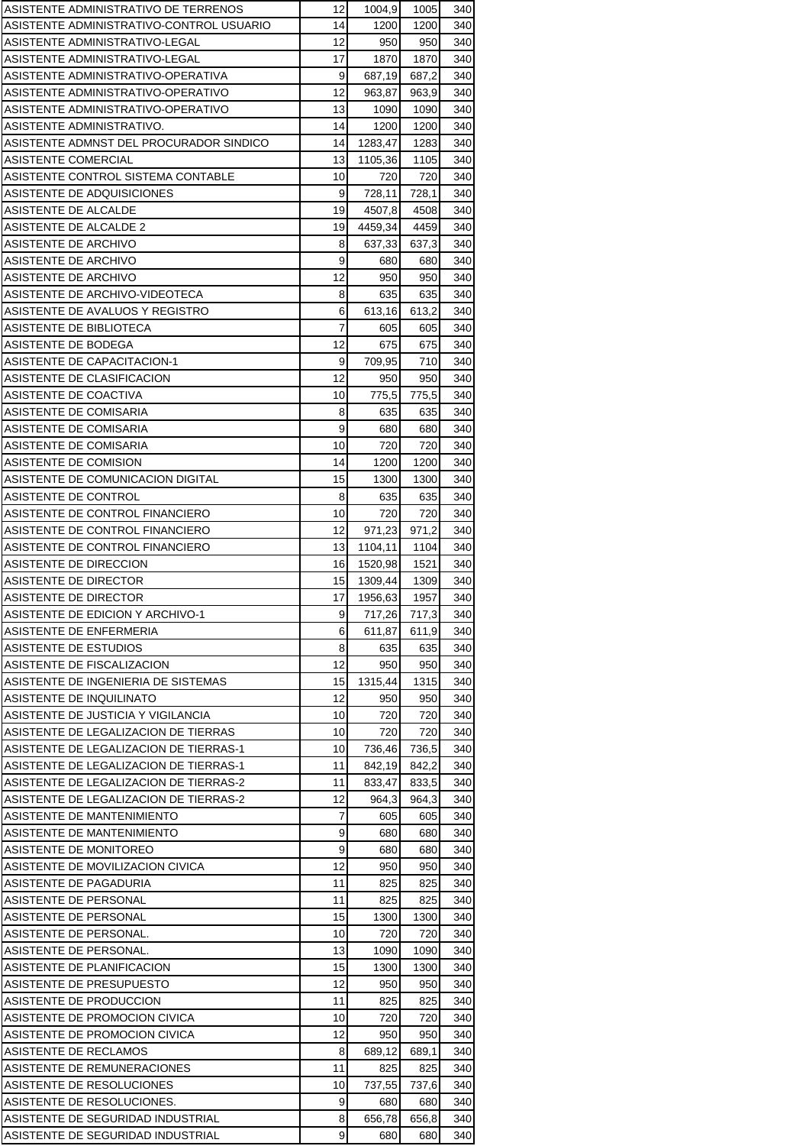| ASISTENTE ADMINISTRATIVO DE TERRENOS                      | 12 | 1004,9        | 1005  | 340 |
|-----------------------------------------------------------|----|---------------|-------|-----|
| ASISTENTE ADMINISTRATIVO-CONTROL USUARIO                  | 14 | 1200          | 1200  | 340 |
| ASISTENTE ADMINISTRATIVO-LEGAL                            | 12 | 950           | 950   | 340 |
| ASISTENTE ADMINISTRATIVO-LEGAL                            | 17 | 1870          | 1870  | 340 |
| ASISTENTE ADMINISTRATIVO-OPERATIVA                        | 9  | 687,19        | 687,2 | 340 |
| ASISTENTE ADMINISTRATIVO-OPERATIVO                        | 12 | 963,87        | 963,9 | 340 |
| ASISTENTE ADMINISTRATIVO-OPERATIVO                        | 13 | 1090          | 1090  | 340 |
| ASISTENTE ADMINISTRATIVO.                                 | 14 | 1200          | 1200  | 340 |
| ASISTENTE ADMNST DEL PROCURADOR SINDICO                   | 14 | 1283,47       | 1283  | 340 |
| ASISTENTE COMERCIAL                                       | 13 | 1105,36       | 1105  | 340 |
| ASISTENTE CONTROL SISTEMA CONTABLE                        | 10 | 720           | 720   | 340 |
| ASISTENTE DE ADQUISICIONES                                | 9  | 728,11        | 728,1 | 340 |
| ASISTENTE DE ALCALDE                                      | 19 | 4507,8        | 4508  | 340 |
| ASISTENTE DE ALCALDE 2                                    | 19 | 4459,34       | 4459  | 340 |
| ASISTENTE DE ARCHIVO                                      | 8  | 637,33        | 637,3 | 340 |
| ASISTENTE DE ARCHIVO                                      | 9  | 680           | 680   | 340 |
| ASISTENTE DE ARCHIVO                                      | 12 | 950           | 950   | 340 |
| ASISTENTE DE ARCHIVO-VIDEOTECA                            | 8  | 635           | 635   | 340 |
| ASISTENTE DE AVALUOS Y REGISTRO                           | 6  | 613,16        | 613,2 | 340 |
| ASISTENTE DE BIBLIOTECA                                   | 7  | 605           | 605   | 340 |
| ASISTENTE DE BODEGA                                       | 12 | 675           | 675   | 340 |
|                                                           | 9  |               | 710   | 340 |
| ASISTENTE DE CAPACITACION-1<br>ASISTENTE DE CLASIFICACION | 12 | 709,95<br>950 | 950   | 340 |
| ASISTENTE DE COACTIVA                                     | 10 |               |       | 340 |
|                                                           |    | 775,5         | 775,5 |     |
| ASISTENTE DE COMISARIA                                    | 8  | 635           | 635   | 340 |
| ASISTENTE DE COMISARIA                                    | 9  | 680           | 680   | 340 |
| ASISTENTE DE COMISARIA                                    | 10 | 720           | 720   | 340 |
| ASISTENTE DE COMISION                                     | 14 | 1200          | 1200  | 340 |
| ASISTENTE DE COMUNICACION DIGITAL                         | 15 | 1300          | 1300  | 340 |
| ASISTENTE DE CONTROL                                      | 8  | 635           | 635   | 340 |
| ASISTENTE DE CONTROL FINANCIERO                           | 10 | 720           | 720   | 340 |
| ASISTENTE DE CONTROL FINANCIERO                           | 12 | 971,23        | 971,2 | 340 |
| ASISTENTE DE CONTROL FINANCIERO                           | 13 | 1104,11       | 1104  | 340 |
| ASISTENTE DE DIRECCION                                    | 16 | 1520,98       | 1521  | 340 |
| ASISTENTE DE DIRECTOR                                     | 15 | 1309,44       | 1309  | 340 |
| ASISTENTE DE DIRECTOR                                     | 17 | 1956,63       | 1957  | 340 |
| ASISTENTE DE EDICION Y ARCHIVO-1                          | 9  | 717,26        | 717,3 | 340 |
| ASISTENTE DE ENFERMERIA                                   | 6  | 611,87        | 611,9 | 340 |
| ASISTENTE DE ESTUDIOS                                     | 8  | 635           | 635   | 340 |
| ASISTENTE DE FISCALIZACION                                | 12 | 950           | 950   | 340 |
| ASISTENTE DE INGENIERIA DE SISTEMAS                       | 15 | 1315,44       | 1315  | 340 |
| ASISTENTE DE INQUILINATO                                  | 12 | 950           | 950   | 340 |
| ASISTENTE DE JUSTICIA Y VIGILANCIA                        | 10 | 720           | 720   | 340 |
| ASISTENTE DE LEGALIZACION DE TIERRAS                      | 10 | 720           | 720   | 340 |
| ASISTENTE DE LEGALIZACION DE TIERRAS-1                    | 10 | 736,46        | 736,5 | 340 |
| ASISTENTE DE LEGALIZACION DE TIERRAS-1                    | 11 | 842,19        | 842,2 | 340 |
| ASISTENTE DE LEGALIZACION DE TIERRAS-2                    | 11 | 833,47        | 833,5 | 340 |
| ASISTENTE DE LEGALIZACION DE TIERRAS-2                    | 12 | 964,3         | 964,3 | 340 |
| ASISTENTE DE MANTENIMIENTO                                | 7  | 605           | 605   | 340 |
| ASISTENTE DE MANTENIMIENTO                                | 9  | 680           | 680   | 340 |
| ASISTENTE DE MONITOREO                                    | 9  | 680           | 680   | 340 |
| ASISTENTE DE MOVILIZACION CIVICA                          | 12 | 950           | 950   | 340 |
| ASISTENTE DE PAGADURIA                                    | 11 | 825           | 825   | 340 |
| ASISTENTE DE PERSONAL                                     | 11 | 825           | 825   | 340 |
| ASISTENTE DE PERSONAL                                     | 15 | 1300          | 1300  | 340 |
| ASISTENTE DE PERSONAL.                                    | 10 | 720           | 720   | 340 |
| ASISTENTE DE PERSONAL.                                    | 13 | 1090          | 1090  | 340 |
| ASISTENTE DE PLANIFICACION                                | 15 | 1300          | 1300  | 340 |
| ASISTENTE DE PRESUPUESTO                                  | 12 | 950           | 950   | 340 |
| ASISTENTE DE PRODUCCION                                   | 11 | 825           | 825   | 340 |
| ASISTENTE DE PROMOCION CIVICA                             | 10 | 720           | 720   | 340 |
| ASISTENTE DE PROMOCION CIVICA                             | 12 |               |       |     |
| ASISTENTE DE RECLAMOS                                     | 8  | 950           | 950   | 340 |
|                                                           |    | 689,12        | 689,1 | 340 |
| ASISTENTE DE REMUNERACIONES                               | 11 | 825           | 825   | 340 |
| ASISTENTE DE RESOLUCIONES                                 | 10 | 737,55        | 737,6 | 340 |
| ASISTENTE DE RESOLUCIONES.                                | 9  | 680           | 680   | 340 |
| ASISTENTE DE SEGURIDAD INDUSTRIAL                         | 8  | 656,78        | 656,8 | 340 |
| ASISTENTE DE SEGURIDAD INDUSTRIAL                         | 9  | 680           | 680   | 340 |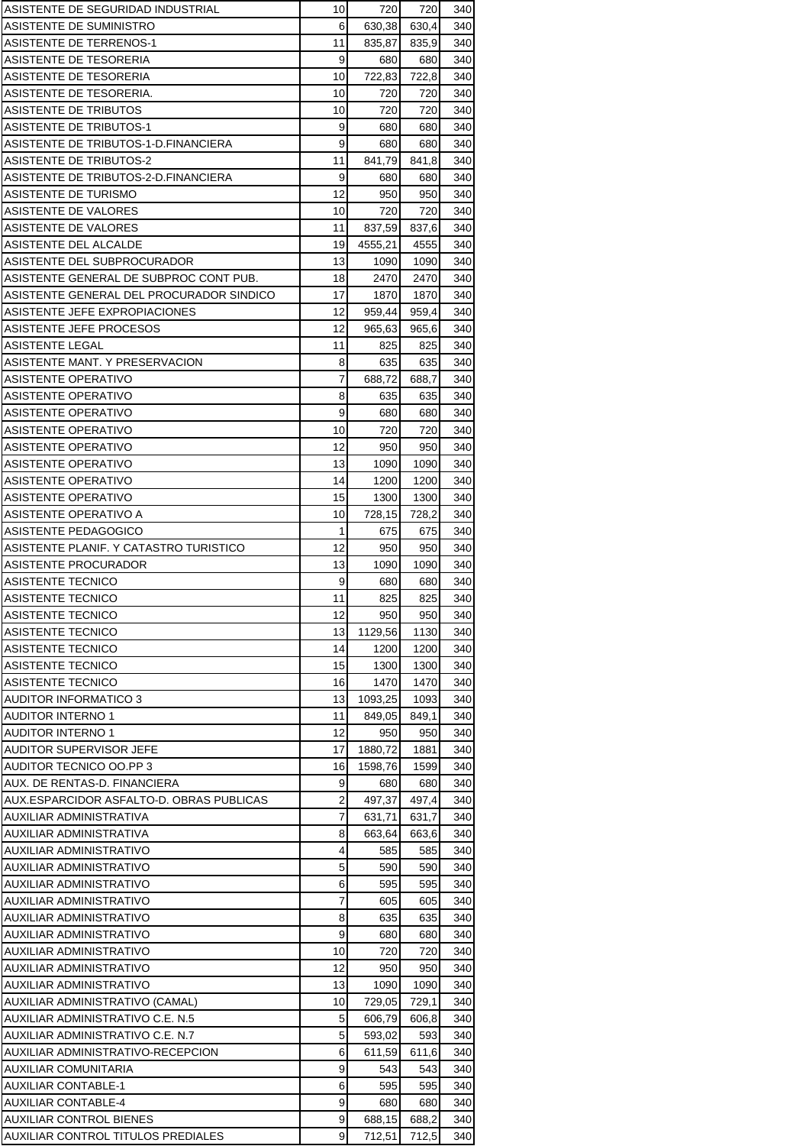| ASISTENTE DE SEGURIDAD INDUSTRIAL                            | 10       | 720            | 720         | 340        |
|--------------------------------------------------------------|----------|----------------|-------------|------------|
| ASISTENTE DE SUMINISTRO                                      | 6        | 630,38         | 630,4       | 340        |
| ASISTENTE DE TERRENOS-1                                      | 11       | 835,87         | 835,9       | 340        |
| ASISTENTE DE TESORERIA                                       | 9        | 680            | 680         | 340        |
| ASISTENTE DE TESORERIA                                       | 10       | 722,83         | 722,8       | 340        |
| ASISTENTE DE TESORERIA.                                      | 10       | 720            | 720         | 340        |
| ASISTENTE DE TRIBUTOS                                        | 10       | 720            | 720         | 340        |
| ASISTENTE DE TRIBUTOS-1                                      | 9        | 680            | 680         | 340        |
| ASISTENTE DE TRIBUTOS-1-D.FINANCIERA                         | 9        | 680            | 680         | 340        |
| <b>ASISTENTE DE TRIBUTOS-2</b>                               | 11       | 841,79         | 841,8       | 340        |
| ASISTENTE DE TRIBUTOS-2-D.FINANCIERA<br>ASISTENTE DE TURISMO | 9<br>12  | 680<br>950     | 680<br>950  | 340<br>340 |
| ASISTENTE DE VALORES                                         | 10       | 720            | 720         | 340        |
| ASISTENTE DE VALORES                                         | 11       | 837,59         | 837,6       | 340        |
| ASISTENTE DEL ALCALDE                                        | 19       | 4555,21        | 4555        | 340        |
| ASISTENTE DEL SUBPROCURADOR                                  | 13       | 1090           | 1090        | 340        |
| ASISTENTE GENERAL DE SUBPROC CONT PUB.                       | 18       | 2470           | 2470        | 340        |
| ASISTENTE GENERAL DEL PROCURADOR SINDICO                     | 17       | 1870           | 1870        | 340        |
| ASISTENTE JEFE EXPROPIACIONES                                | 12       | 959,44         | 959,4       | 340        |
| ASISTENTE JEFE PROCESOS                                      | 12       | 965.63         | 965,6       | 340        |
| ASISTENTE LEGAL                                              | 11       | 825            | 825         | 340        |
| ASISTENTE MANT. Y PRESERVACION                               | 8        | 635            | 635         | 340        |
| ASISTENTE OPERATIVO                                          | 7        | 688,72         | 688,7       | 340        |
| ASISTENTE OPERATIVO                                          | 8        | 635            | 635         | 340        |
| ASISTENTE OPERATIVO                                          | 9        | 680            | 680         | 340        |
| ASISTENTE OPERATIVO                                          | 10       | 720            | 720         | 340        |
| ASISTENTE OPERATIVO                                          | 12       | 950            | 950         | 340        |
| ASISTENTE OPERATIVO                                          | 13       | 1090           | 1090        | 340        |
| ASISTENTE OPERATIVO                                          | 14       | 1200           | 1200        | 340        |
| ASISTENTE OPERATIVO                                          | 15       | 1300           | 1300        | 340        |
| ASISTENTE OPERATIVO A                                        | 10       | 728,15         | 728,2       | 340        |
| ASISTENTE PEDAGOGICO                                         | 1        | 675            | 675         | 340        |
| ASISTENTE PLANIF. Y CATASTRO TURISTICO                       | 12       | 950            | 950         | 340        |
| ASISTENTE PROCURADOR                                         | 13       | 1090           | 1090        | 340        |
| ASISTENTE TECNICO                                            | 9        | 680            | 680         | 340        |
| ASISTENTE TECNICO                                            | 11       | 825            | 825         | 340        |
| ASISTENTE TECNICO                                            | 12       | 950            | 9501        | 340        |
| ASISTENTE TECNICO                                            | 13       | 1129,56        | 1130        | 340        |
| <b>ASISTENTE TECNICO</b>                                     | 14       | 1200           | 1200        | 340        |
| <b>ASISTENTE TECNICO</b>                                     | 15       | 1300           | 1300        | 340        |
| <b>ASISTENTE TECNICO</b>                                     | 16       | 1470           | 1470        | 340        |
| AUDITOR INFORMATICO 3                                        | 13       | 1093.25        | 1093        | 340        |
| AUDITOR INTERNO 1<br><b>AUDITOR INTERNO 1</b>                | 11<br>12 | 849,05         | 849,1       | 340        |
| AUDITOR SUPERVISOR JEFE                                      | 17       | 950<br>1880,72 | 950<br>1881 | 340<br>340 |
| AUDITOR TECNICO OO.PP 3                                      | 16       | 1598,76        | 1599        | 340        |
| AUX. DE RENTAS-D. FINANCIERA                                 | 9        | 680            | 680         | 340        |
| AUX.ESPARCIDOR ASFALTO-D. OBRAS PUBLICAS                     | 2        | 497,37         | 497,4       | 340        |
| AUXILIAR ADMINISTRATIVA                                      | 7        | 631,71         | 631,7       | 340        |
| AUXILIAR ADMINISTRATIVA                                      | 8        | 663,64         | 663,6       | 340        |
| AUXILIAR ADMINISTRATIVO                                      | 4        | 585            | 585         | 340        |
| AUXILIAR ADMINISTRATIVO                                      | 5        | 590            | 590         | 340        |
| AUXILIAR ADMINISTRATIVO                                      | 6        | 595            | 595         | 340        |
| AUXILIAR ADMINISTRATIVO                                      | 7        | 605            | 605         | 340        |
| AUXILIAR ADMINISTRATIVO                                      | 8        | 635            | 635         | 340        |
| AUXILIAR ADMINISTRATIVO                                      | 9        | 680            | 680         | 340        |
| AUXILIAR ADMINISTRATIVO                                      | 10       | 720            | 720         | 340        |
| AUXILIAR ADMINISTRATIVO                                      | 12       | 950            | 950         | 340        |
| AUXILIAR ADMINISTRATIVO                                      | 13       | 1090           | 1090        | 340        |
| AUXILIAR ADMINISTRATIVO (CAMAL)                              | 10       | 729,05         | 729,1       | 340        |
| AUXILIAR ADMINISTRATIVO C.E. N.5                             | 5        | 606,79         | 606,8       | 340        |
| AUXILIAR ADMINISTRATIVO C.E. N.7                             | 5        | 593,02         | 593         | 340        |
| AUXILIAR ADMINISTRATIVO-RECEPCION                            | 6        | 611,59         | 611,6       | 340        |
| AUXILIAR COMUNITARIA                                         | 9        | 543            | 543         | 340        |
| AUXILIAR CONTABLE-1                                          | 6        | 595            | 595         | 340        |
| <b>AUXILIAR CONTABLE-4</b>                                   | 9        | 680            | 680         | 340        |
| <b>AUXILIAR CONTROL BIENES</b>                               | 9        | 688,15         | 688,2       | 340        |
| AUXILIAR CONTROL TITULOS PREDIALES                           | 9        | 712,51         | 712,5       | 340        |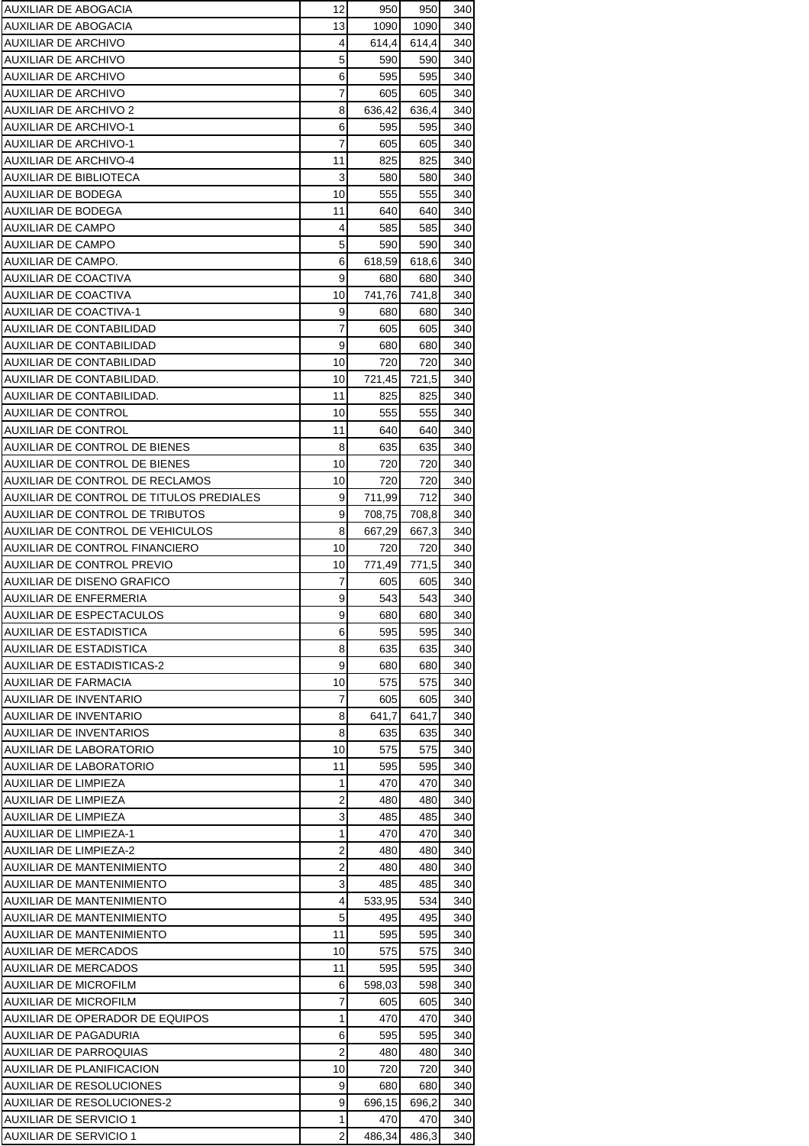| AUXILIAR DE ABOGACIA                                        | 12             | 950           | 950        | 340        |
|-------------------------------------------------------------|----------------|---------------|------------|------------|
| AUXILIAR DE ABOGACIA                                        | 13             | 1090          | 1090       | 340        |
| AUXILIAR DE ARCHIVO                                         | 4              | 614,4         | 614,4      | 340        |
| AUXILIAR DE ARCHIVO                                         | 5              | 590           | 590        | 340        |
| AUXILIAR DE ARCHIVO                                         | 6              | 595           | 595        | 340        |
| AUXILIAR DE ARCHIVO                                         | 7              | 605           | 605        | 340        |
| AUXILIAR DE ARCHIVO 2                                       | 8              | 636,42        | 636,4      | 340        |
| <b>AUXILIAR DE ARCHIVO-1</b>                                | 6              | 595           | 595        | 340        |
| <b>AUXILIAR DE ARCHIVO-1</b>                                | 7              | 605           | 605        | 340        |
| <b>AUXILIAR DE ARCHIVO-4</b><br>AUXILIAR DE BIBLIOTECA      | 11<br>3        | 825           | 825        | 340        |
| AUXILIAR DE BODEGA                                          | 10             | 580<br>555    | 580<br>555 | 340<br>340 |
| AUXILIAR DE BODEGA                                          | 11             | 640           | 640        | 340        |
| AUXILIAR DE CAMPO                                           | 4              | 585           | 585        | 340        |
| AUXILIAR DE CAMPO                                           | 5              | 590           | 590        | 340        |
| AUXILIAR DE CAMPO.                                          | 6              | 618,59        | 618,6      | 340        |
| AUXILIAR DE COACTIVA                                        | 9              | 680           | 680        | 340        |
| AUXILIAR DE COACTIVA                                        | 10             | 741,76        | 741,8      | 340        |
| AUXILIAR DE COACTIVA-1                                      | 9              | 680           | 680        | 340        |
| AUXILIAR DE CONTABILIDAD                                    | $\overline{7}$ | 605           | 605        | 340        |
| <b>AUXILIAR DE CONTABILIDAD</b>                             | 9              | 680           | 680        | 340        |
| AUXILIAR DE CONTABILIDAD                                    | 10             | 720           | 720        | 340        |
| AUXILIAR DE CONTABILIDAD.                                   | 10             | 721,45        | 721,5      | 340        |
| AUXILIAR DE CONTABILIDAD.                                   | 11             | 825           | 825        | 340        |
| <b>AUXILIAR DE CONTROL</b>                                  | 10             | 555           | 555        | 340        |
| <b>AUXILIAR DE CONTROL</b><br>AUXILIAR DE CONTROL DE BIENES | 11<br>8        | 640           | 640<br>635 | 340<br>340 |
| AUXILIAR DE CONTROL DE BIENES                               | 10             | 635<br>720    | 720        | 340        |
| AUXILIAR DE CONTROL DE RECLAMOS                             | 10             | 720           | 720        | 340        |
| AUXILIAR DE CONTROL DE TITULOS PREDIALES                    | 9              | 711,99        | 712        | 340        |
| AUXILIAR DE CONTROL DE TRIBUTOS                             | 9              | 708,75        | 708,8      | 340        |
| AUXILIAR DE CONTROL DE VEHICULOS                            | 8              | 667,29        | 667,3      | 340        |
| <b>AUXILIAR DE CONTROL FINANCIERO</b>                       | 10             | 720           | 720        | 340        |
| <b>AUXILIAR DE CONTROL PREVIO</b>                           | 10             | 771,49        | 771,5      | 340        |
| AUXILIAR DE DISENO GRAFICO                                  | 7              | 605           | 605        | 340        |
| AUXILIAR DE ENFERMERIA                                      | 9              | 543           | 543        | 340        |
| AUXILIAR DE ESPECTACULOS                                    | 9              | 680           | 6801       | 340        |
| AUXILIAR DE ESTADISTICA                                     | 6              | 595           | 595        | 340        |
| AUXILIAR DE ESTADISTICA                                     | 8              | 635           | 635        | 340        |
| <b>AUXILIAR DE ESTADISTICAS-2</b>                           | 9              | 680           | 680        | 340        |
| <b>AUXILIAR DE FARMACIA</b><br>AUXILIAR DE INVENTARIO       | 10<br>7        | 575<br>605    | 575<br>605 | 340<br>340 |
| <b>AUXILIAR DE INVENTARIO</b>                               | 8              | 641,7         | 641,7      | 340        |
| AUXILIAR DE INVENTARIOS                                     | 8              | 635           | 635        | 340        |
| AUXILIAR DE LABORATORIO                                     | 10             | 575           | 575        | 340        |
| <b>AUXILIAR DE LABORATORIO</b>                              | 11             | 595           | 595        | 340        |
| AUXILIAR DE LIMPIEZA                                        | 1              | 470           | 470        | 340        |
| AUXILIAR DE LIMPIEZA                                        | $\overline{2}$ | 480           | 480        | 340        |
| AUXILIAR DE LIMPIEZA                                        | 3              | 485           | 485        | 340        |
| <b>AUXILIAR DE LIMPIEZA-1</b>                               | 1              | 470           | 470        | 340        |
| <b>AUXILIAR DE LIMPIEZA-2</b>                               | $\overline{2}$ | 480           | 480        | 340        |
| AUXILIAR DE MANTENIMIENTO                                   | $\overline{2}$ | 480           | 480        | 340        |
| AUXILIAR DE MANTENIMIENTO                                   | 3              | 485           | 485        | 340        |
| <b>AUXILIAR DE MANTENIMIENTO</b>                            | 4              | 533,95        | 534        | 340        |
| AUXILIAR DE MANTENIMIENTO                                   | 5              | 495           | 495        | 340        |
| AUXILIAR DE MANTENIMIENTO                                   | 11             | 595           | 595        | 340        |
| AUXILIAR DE MERCADOS                                        | 10<br>11       | 575           | 575        | 340        |
| <b>AUXILIAR DE MERCADOS</b><br>AUXILIAR DE MICROFILM        | 6              | 595<br>598,03 | 595<br>598 | 340<br>340 |
| AUXILIAR DE MICROFILM                                       | 7              | 605           | 605        | 340        |
| AUXILIAR DE OPERADOR DE EQUIPOS                             | 1              | 470           | 470        | 340        |
| AUXILIAR DE PAGADURIA                                       | 6              | 595           | 595        | 340        |
| AUXILIAR DE PARROQUIAS                                      | 2              | 480           | 480        | 340        |
| AUXILIAR DE PLANIFICACION                                   | 10             | 720           | 720        | 340        |
| <b>AUXILIAR DE RESOLUCIONES</b>                             | 9              | 680           | 680        | 340        |
| <b>AUXILIAR DE RESOLUCIONES-2</b>                           | 9              | 696,15        | 696.2      | 340        |
| <b>AUXILIAR DE SERVICIO 1</b>                               | 1              | 470           | 470        | 340        |
| AUXILIAR DE SERVICIO 1                                      | $\overline{2}$ | 486,34        | 486,3      | 340        |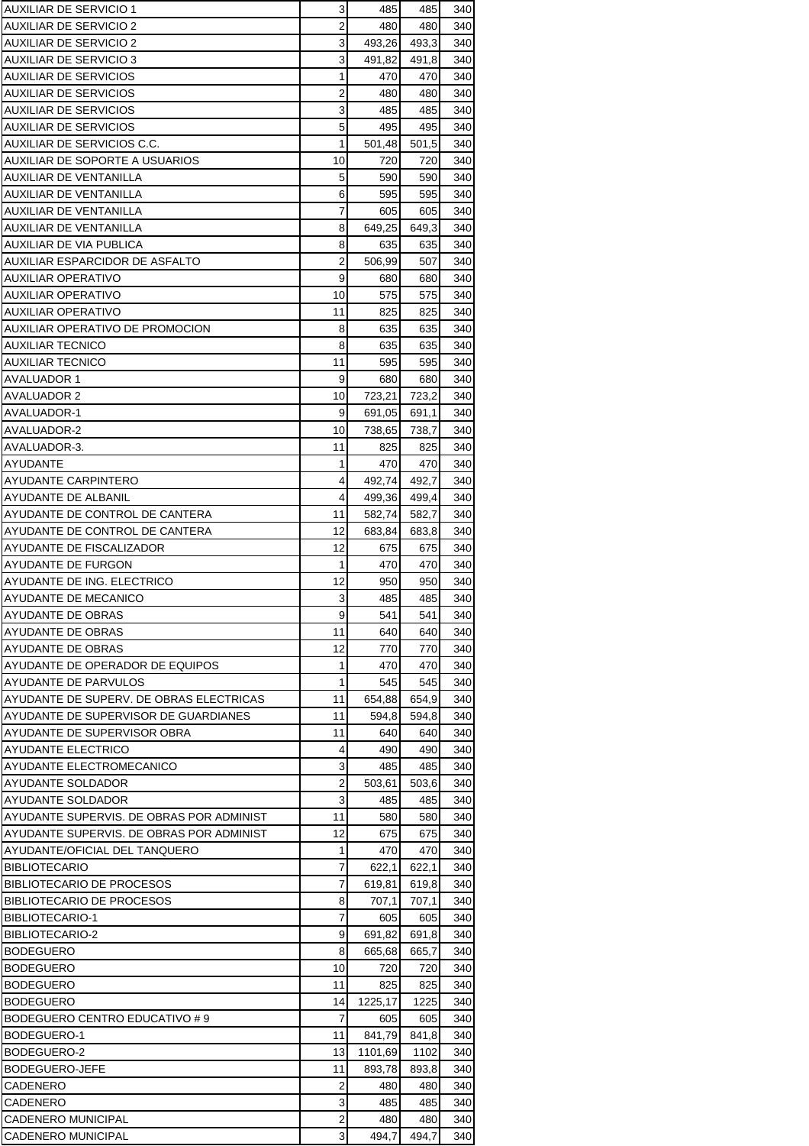| AUXILIAR DE SERVICIO 1                                          | 3              | 485             | 485          | 340        |
|-----------------------------------------------------------------|----------------|-----------------|--------------|------------|
| AUXILIAR DE SERVICIO 2                                          | $\overline{2}$ | 480             | 480          | 340        |
| AUXILIAR DE SERVICIO 2                                          | 3              | 493.26          | 493,3        | 340        |
| AUXILIAR DE SERVICIO 3                                          | 3              | 491,82          | 491,8        | 340        |
| <b>AUXILIAR DE SERVICIOS</b>                                    | 1              | 470             | 470          | 340        |
| <b>AUXILIAR DE SERVICIOS</b>                                    | 2              | 480             | 480          | 340        |
| AUXILIAR DE SERVICIOS                                           | 3              | 485             | 485          | 340        |
| AUXILIAR DE SERVICIOS                                           | 5              | 495             | 495          | 340        |
| AUXILIAR DE SERVICIOS C.C.<br>AUXILIAR DE SOPORTE A USUARIOS    | 1<br>10        | 501,48<br>720   | 501,5<br>720 | 340<br>340 |
| AUXILIAR DE VENTANILLA                                          | 5              | 590             | 590          | 340        |
| AUXILIAR DE VENTANILLA                                          | 6              | 595             | 595          | 340        |
| AUXILIAR DE VENTANILLA                                          | 7              | 605             | 605          | 340        |
| AUXILIAR DE VENTANILLA                                          | 8              | 649,25          | 649,3        | 340        |
| AUXILIAR DE VIA PUBLICA                                         | 8              | 635             | 635          | 340        |
| AUXILIAR ESPARCIDOR DE ASFALTO                                  | 2              | 506,99          | 507          | 340        |
| AUXILIAR OPERATIVO                                              | 9              | 680             | 680          | 340        |
| AUXILIAR OPERATIVO                                              | 10             | 575             | 575          | 340        |
| AUXILIAR OPERATIVO                                              | 11             | 825             | 825          | 340        |
| AUXILIAR OPERATIVO DE PROMOCION                                 | 8              | 635             | 635          | 340        |
| <b>AUXILIAR TECNICO</b>                                         | 8              | 635             | 635          | 340        |
| <b>AUXILIAR TECNICO</b>                                         | 11             | 595             | 595          | 340        |
| AVALUADOR 1                                                     | 9              | 680             | 680          | 340        |
| <b>AVALUADOR 2</b>                                              | 10             | 723,21          | 723,2        | 340        |
| AVALUADOR-1<br>AVALUADOR-2                                      | 9              | 691,05          | 691,1        | 340        |
| AVALUADOR-3.                                                    | 10<br>11       | 738,65<br>825   | 738,7<br>825 | 340<br>340 |
| <b>AYUDANTE</b>                                                 | 1              | 470             | 470          | 340        |
| AYUDANTE CARPINTERO                                             | 4              | 492,74          | 492,7        | 340        |
| AYUDANTE DE ALBANIL                                             | 4              | 499,36          | 499,4        | 340        |
| AYUDANTE DE CONTROL DE CANTERA                                  | 11             | 582,74          | 582,7        | 340        |
| AYUDANTE DE CONTROL DE CANTERA                                  | 12             | 683,84          | 683,8        | 340        |
| AYUDANTE DE FISCALIZADOR                                        | 12             | 675             | 675          | 340        |
| AYUDANTE DE FURGON                                              | 1              | 470             | 470          | 340        |
| AYUDANTE DE ING. ELECTRICO                                      | 12             | 950             | 950          | 340        |
| AYUDANTE DE MECANICO                                            | 3              | 485             | 485          | 340        |
| AYUDANTE DE OBRAS                                               | 9              | 541             | 541          | 340        |
| AYUDANTE DE OBRAS                                               | 11             | 640             | 640          | 340        |
| AYUDANTE DE OBRAS                                               | 12             | 770             | 770          | 340        |
| AYUDANTE DE OPERADOR DE EQUIPOS                                 | 1              | 470             | 470          | 340        |
| AYUDANTE DE PARVULOS<br>AYUDANTE DE SUPERV. DE OBRAS ELECTRICAS | 1              | 545             | 545<br>654.9 | 340        |
| AYUDANTE DE SUPERVISOR DE GUARDIANES                            | 11<br>11       | 654,88<br>594,8 | 594,8        | 340<br>340 |
| AYUDANTE DE SUPERVISOR OBRA                                     | 11             | 640             | 640          | 340        |
| <b>AYUDANTE ELECTRICO</b>                                       | 4              | 490             | 490          | 340        |
| AYUDANTE ELECTROMECANICO                                        | 3              | 485             | 485          | 340        |
| AYUDANTE SOLDADOR                                               | 2              | 503,61          | 503,6        | 340        |
| AYUDANTE SOLDADOR                                               | 3              | 485             | 485          | 340        |
| AYUDANTE SUPERVIS. DE OBRAS POR ADMINIST                        | 11             | 580             | 580          | 340        |
| AYUDANTE SUPERVIS. DE OBRAS POR ADMINIST                        | 12             | 675             | 675          | 340        |
| AYUDANTE/OFICIAL DEL TANQUERO                                   | 1              | 470             | 470          | 340        |
| <b>BIBLIOTECARIO</b>                                            | 7              | 622,1           | 622,1        | 340        |
| <b>BIBLIOTECARIO DE PROCESOS</b>                                | $\overline{7}$ | 619,81          | 619,8        | 340        |
| <b>BIBLIOTECARIO DE PROCESOS</b>                                | 8              | 707,1           | 707,1        | 340        |
| <b>BIBLIOTECARIO-1</b>                                          | 7              | 605             | 605          | 340        |
| BIBLIOTECARIO-2                                                 | 9              | 691,82          | 691,8        | 340        |
| <b>BODEGUERO</b>                                                | 8              | 665,68          | 665,7        | 340        |
| <b>BODEGUERO</b><br><b>BODEGUERO</b>                            | 10<br>11       | 720<br>825      | 720<br>825   | 340<br>340 |
| <b>BODEGUERO</b>                                                | 14             | 1225,17         | 1225         | 340        |
| BODEGUERO CENTRO EDUCATIVO # 9                                  | 7              | 605             | 605          | 340        |
| BODEGUERO-1                                                     | 11             | 841,79          | 841,8        | 340        |
| BODEGUERO-2                                                     | 13             | 1101,69         | 1102         | 340        |
| BODEGUERO-JEFE                                                  | 11             | 893,78          | 893,8        | 340        |
| CADENERO                                                        | 2              | 480             | 480          | 340        |
| CADENERO                                                        | 3              | 485             | 485          | 340        |
| <b>CADENERO MUNICIPAL</b>                                       | $\overline{2}$ | 480             | 480          | 340        |
| CADENERO MUNICIPAL                                              | 3              | 494,7           | 494,7        | 340        |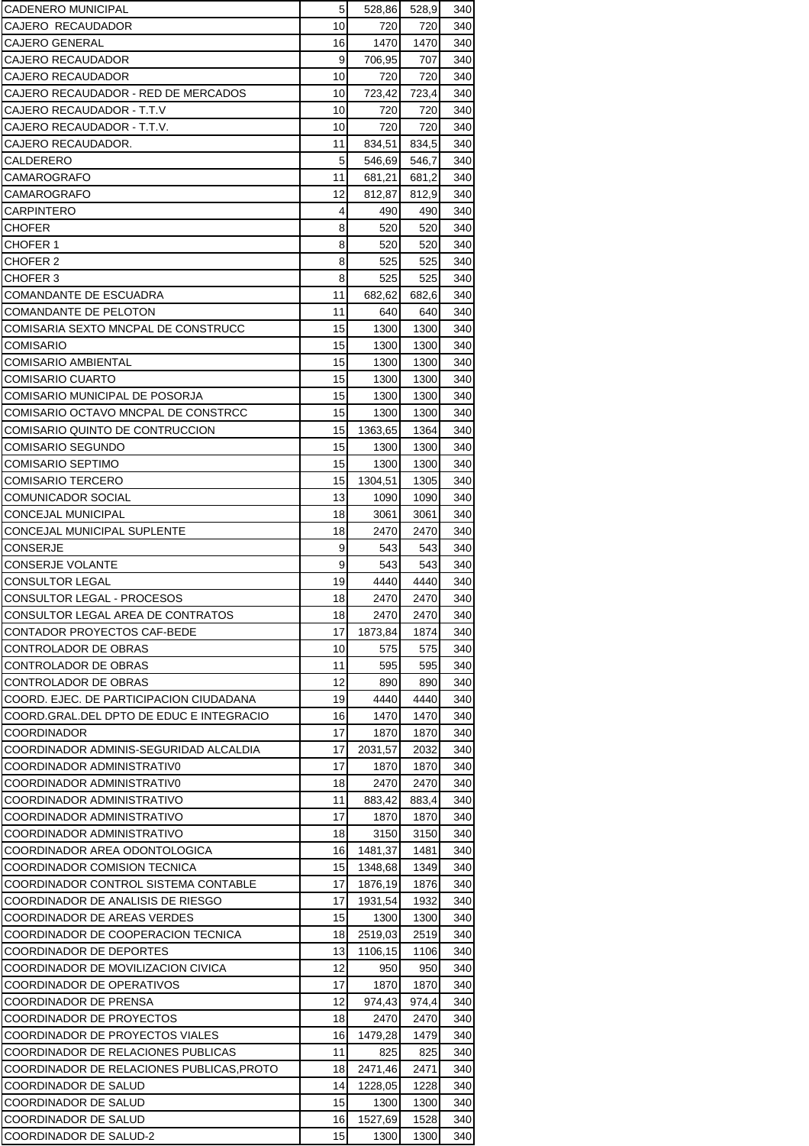| <b>CADENERO MUNICIPAL</b>                                    | 5        | 528,86           | 528,9          | 340        |
|--------------------------------------------------------------|----------|------------------|----------------|------------|
| CAJERO RECAUDADOR                                            | 10       | 720              | 720            | 340        |
| <b>CAJERO GENERAL</b>                                        | 16       | 1470             | 1470           | 340        |
| CAJERO RECAUDADOR                                            | 9        | 706,95           | 707            | 340        |
| CAJERO RECAUDADOR                                            | 10       | 720              | 720            | 340        |
| CAJERO RECAUDADOR - RED DE MERCADOS                          | 10       | 723,42           | 723,4          | 340        |
| CAJERO RECAUDADOR - T.T.V                                    | 10       | 720              | 720            | 340        |
| CAJERO RECAUDADOR T.T.V.                                     | 10       | 720              | 720            | 340        |
| CAJERO RECAUDADOR.                                           | 11       | 834,51           | 834,5          | 340        |
| CALDERERO<br>CAMAROGRAFO                                     | 5<br>11  | 546,69           | 546,7          | 340        |
| <b>CAMAROGRAFO</b>                                           | 12       | 681,21<br>812,87 | 681,2<br>812,9 | 340<br>340 |
| <b>CARPINTERO</b>                                            | 4        | 490              | 490            | 340        |
| <b>CHOFER</b>                                                | 8        | 520              | 520            | 340        |
| <b>CHOFER 1</b>                                              | 8        | 520              | 520            | 340        |
| CHOFER 2                                                     | 8        | 525              | 525            | 340        |
| CHOFER 3                                                     | 8        | 525              | 525            | 340        |
| <b>COMANDANTE DE ESCUADRA</b>                                | 11       | 682,62           | 682,6          | 340        |
| COMANDANTE DE PELOTON                                        | 11       | 640              | 640            | 340        |
| COMISARIA SEXTO MNCPAL DE CONSTRUCC                          | 15       | 1300             | 1300           | 340        |
| <b>COMISARIO</b>                                             | 15       | 1300             | 1300           | 340        |
| <b>COMISARIO AMBIENTAL</b>                                   | 15       | 1300             | 1300           | 340        |
| <b>COMISARIO CUARTO</b>                                      | 15       | 1300             | 1300           | 340        |
| COMISARIO MUNICIPAL DE POSORJA                               | 15       | 1300             | 1300           | 340        |
| COMISARIO OCTAVO MNCPAL DE CONSTRCC                          | 15       | 1300             | 1300           | 340        |
| COMISARIO QUINTO DE CONTRUCCION                              | 15       | 1363,65          | 1364           | 340        |
| <b>COMISARIO SEGUNDO</b>                                     | 15       | 1300             | 1300           | 340        |
| <b>COMISARIO SEPTIMO</b><br><b>COMISARIO TERCERO</b>         | 15<br>15 | 1300             | 1300<br>1305   | 340<br>340 |
| <b>COMUNICADOR SOCIAL</b>                                    | 13       | 1304,51<br>1090  | 1090           | 340        |
| <b>CONCEJAL MUNICIPAL</b>                                    | 18       | 3061             | 3061           | 340        |
| CONCEJAL MUNICIPAL SUPLENTE                                  | 18       | 2470             | 2470           | 340        |
| <b>CONSERJE</b>                                              | 9        | 543              | 543            | 340        |
| <b>CONSERJE VOLANTE</b>                                      | 9        | 543              | 543            | 340        |
| <b>CONSULTOR LEGAL</b>                                       | 19       | 4440             | 4440           | 340        |
| CONSULTOR LEGAL - PROCESOS                                   | 18       | 2470             | 2470           | 340        |
| CONSULTOR LEGAL AREA DE CONTRATOS                            | 18       | 2470             | 2470           | 340        |
| CONTADOR PROYECTOS CAF-BEDE                                  | 17       | 1873.84          | 1874           | 340        |
| CONTROLADOR DE OBRAS                                         | 10       | 575              | 575            | 340        |
| CONTROLADOR DE OBRAS                                         | 11       | 595              | 595            | 340        |
| CONTROLADOR DE OBRAS                                         | 12       | 890              | 890            | 340        |
| COORD. EJEC. DE PARTICIPACION CIUDADANA                      | 19       | 4440             | 4440           | 340        |
| COORD.GRAL.DEL DPTO DE EDUC E INTEGRACIO                     | 16       | 1470             | 1470<br>1870   | 340        |
| <b>COORDINADOR</b><br>COORDINADOR ADMINIS-SEGURIDAD ALCALDIA | 17<br>17 | 1870<br>2031,57  | 2032           | 340<br>340 |
| COORDINADOR ADMINISTRATIV0                                   | 17       | 1870             | 1870           | 340        |
| COORDINADOR ADMINISTRATIV0                                   | 18       | 2470             | 2470           | 340        |
| COORDINADOR ADMINISTRATIVO                                   | 11       | 883,42           | 883,4          | 340        |
| COORDINADOR ADMINISTRATIVO                                   | 17       | 1870             | 1870           | 340        |
| COORDINADOR ADMINISTRATIVO                                   | 18       | 3150             | 3150           | 340        |
| COORDINADOR AREA ODONTOLOGICA                                | 16       | 1481,37          | 1481           | 340        |
| COORDINADOR COMISION TECNICA                                 | 15       | 1348,68          | 1349           | 340        |
| COORDINADOR CONTROL SISTEMA CONTABLE                         | 17       | 1876,19          | 1876           | 340        |
| COORDINADOR DE ANALISIS DE RIESGO                            | 17       | 1931,54          | 1932           | 340        |
| COORDINADOR DE AREAS VERDES                                  | 15       | 1300             | 1300           | 340        |
| COORDINADOR DE COOPERACION TECNICA                           | 18       | 2519,03          | 2519           | 340        |
| COORDINADOR DE DEPORTES                                      | 13       | 1106,15          | 1106           | 340        |
| COORDINADOR DE MOVILIZACION CIVICA                           | 12       | 950              | 950            | 340        |
| COORDINADOR DE OPERATIVOS                                    | 17       | 1870             | 1870           | 340        |
| COORDINADOR DE PRENSA<br>COORDINADOR DE PROYECTOS            | 12<br>18 | 974,43<br>2470   | 974,4<br>2470  | 340<br>340 |
| COORDINADOR DE PROYECTOS VIALES                              | 16       | 1479,28          | 1479           | 340        |
| COORDINADOR DE RELACIONES PUBLICAS                           | 11       | 825              | 825            | 340        |
| COORDINADOR DE RELACIONES PUBLICAS, PROTO                    | 18       | 2471,46          | 2471           | 340        |
| COORDINADOR DE SALUD                                         | 14       | 1228,05          | 1228           | 340        |
| COORDINADOR DE SALUD                                         | 15       | 1300             | 1300           | 340        |
| COORDINADOR DE SALUD                                         | 16       | 1527,69          | 1528           | 340        |
| COORDINADOR DE SALUD-2                                       | 15       | 1300             | 1300           | 340        |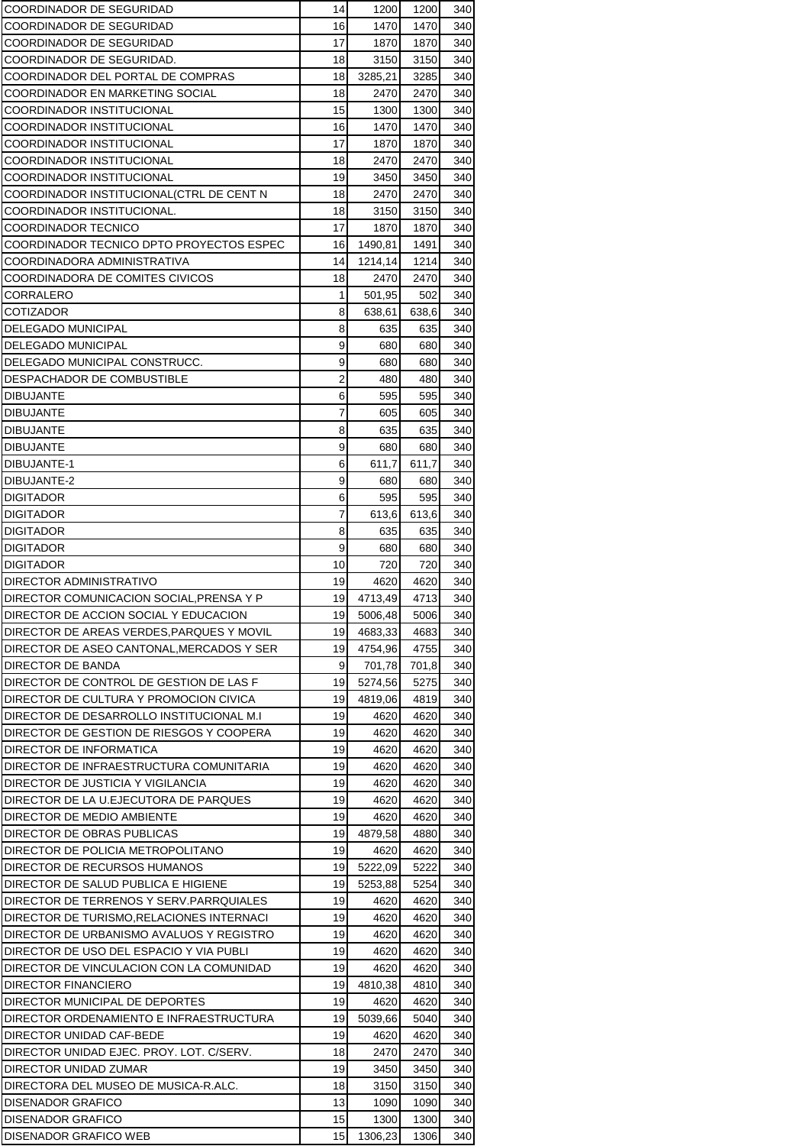| COORDINADOR DE SEGURIDAD                  | 14             | 1200               | 1200  | 340 |
|-------------------------------------------|----------------|--------------------|-------|-----|
| COORDINADOR DE SEGURIDAD                  | 16             | 1470               | 1470  | 340 |
| COORDINADOR DE SEGURIDAD                  | 17             | 1870               | 1870  | 340 |
| COORDINADOR DE SEGURIDAD.                 | 18             | 3150               | 3150  | 340 |
| COORDINADOR DEL PORTAL DE COMPRAS         | 18             | 3285,21            | 3285  | 340 |
| COORDINADOR EN MARKETING SOCIAL           | 18             | 2470               | 2470  | 340 |
| COORDINADOR INSTITUCIONAL                 | 15             | 1300               | 1300  | 340 |
| COORDINADOR INSTITUCIONAL                 | 16             | 1470               | 1470  | 340 |
| <b>COORDINADOR INSTITUCIONAL</b>          | 17             | 1870               | 1870  | 340 |
| COORDINADOR INSTITUCIONAL                 | 18             | 2470               | 2470  | 340 |
| COORDINADOR INSTITUCIONAL                 | 19             | 3450               | 3450  | 340 |
| COORDINADOR INSTITUCIONAL(CTRL DE CENT N  | 18             | 2470               | 2470  | 340 |
| COORDINADOR INSTITUCIONAL.                | 18             | 3150               | 3150  | 340 |
| COORDINADOR TECNICO                       | 17             | 1870               | 1870  | 340 |
| COORDINADOR TECNICO DPTO PROYECTOS ESPEC  | 16             | 1490,81            | 1491  | 340 |
| COORDINADORA ADMINISTRATIVA               | 14             | 1214,14            | 1214  | 340 |
| COORDINADORA DE COMITES CIVICOS           | 18             | 2470               | 2470  | 340 |
| CORRALERO                                 | 1              | 501,95             | 502   | 340 |
| <b>COTIZADOR</b>                          | 8              | 638,61             | 638,6 | 340 |
| <b>DELEGADO MUNICIPAL</b>                 | 8              | 635                | 635   | 340 |
| <b>DELEGADO MUNICIPAL</b>                 | 9              | 680                | 680   | 340 |
| DELEGADO MUNICIPAL CONSTRUCC.             | 9              | 680                | 680   | 340 |
| DESPACHADOR DE COMBUSTIBLE                | $\overline{2}$ | 480                | 480   | 340 |
| <b>DIBUJANTE</b>                          | 6              | 595                | 595   | 340 |
| <b>DIBUJANTE</b>                          | 7              | 605                | 605   | 340 |
| <b>DIBUJANTE</b>                          | 8              | 635                | 635   | 340 |
| <b>DIBUJANTE</b>                          | 9              | 680                | 680   | 340 |
| DIBUJANTE-1                               | 6              | 611,7              | 611,7 | 340 |
| DIBUJANTE-2                               | 9              | 680                | 680   | 340 |
| <b>DIGITADOR</b>                          | 6              | 595                | 595   | 340 |
| <b>DIGITADOR</b>                          | 7              | 613,6              | 613,6 | 340 |
| <b>DIGITADOR</b>                          | 8              | 635                | 635   | 340 |
| <b>DIGITADOR</b>                          | 9              | 680                | 680   | 340 |
| <b>DIGITADOR</b>                          | 10             | 720                | 720   | 340 |
| DIRECTOR ADMINISTRATIVO                   | 19             | 4620               | 4620  | 340 |
| DIRECTOR COMUNICACION SOCIAL, PRENSA Y P  | 19             | 4713,49            | 4713  | 340 |
| DIRECTOR DE ACCION SOCIAL Y EDUCACION     | 19             | 5006,48            | 5006  | 340 |
| DIRECTOR DE AREAS VERDES, PARQUES Y MOVIL | 19             | 4683,33            | 4683  | 340 |
| DIRECTOR DE ASEO CANTONAL, MERCADOS Y SER | 19             | 4754,96            | 4755  | 340 |
| DIRECTOR DE BANDA                         | 9              | 701,78             | 701,8 | 340 |
| DIRECTOR DE CONTROL DE GESTION DE LAS F   | 19             |                    | 5275  | 340 |
| DIRECTOR DE CULTURA Y PROMOCION CIVICA    | 19             | 5274,56<br>4819,06 | 4819  | 340 |
| DIRECTOR DE DESARROLLO INSTITUCIONAL M.I  | 19             |                    |       |     |
|                                           |                | 4620               | 4620  | 340 |
| DIRECTOR DE GESTION DE RIESGOS Y COOPERA  | 19             | 4620               | 4620  | 340 |
| DIRECTOR DE INFORMATICA                   | 19             | 4620               | 4620  | 340 |
| DIRECTOR DE INFRAESTRUCTURA COMUNITARIA   | 19             | 4620               | 4620  | 340 |
| DIRECTOR DE JUSTICIA Y VIGILANCIA         | 19             | 4620               | 4620  | 340 |
| DIRECTOR DE LA U.EJECUTORA DE PARQUES     | 19             | 4620               | 4620  | 340 |
| DIRECTOR DE MEDIO AMBIENTE                | 19             | 4620               | 4620  | 340 |
| DIRECTOR DE OBRAS PUBLICAS                | 19             | 4879,58            | 4880  | 340 |
| DIRECTOR DE POLICIA METROPOLITANO         | 19             | 4620               | 4620  | 340 |
| DIRECTOR DE RECURSOS HUMANOS              | 19             | 5222,09            | 5222  | 340 |
| DIRECTOR DE SALUD PUBLICA E HIGIENE       | 19             | 5253,88            | 5254  | 340 |
| DIRECTOR DE TERRENOS Y SERV.PARRQUIALES   | 19             | 4620               | 4620  | 340 |
| DIRECTOR DE TURISMO, RELACIONES INTERNACI | 19             | 4620               | 4620  | 340 |
| DIRECTOR DE URBANISMO AVALUOS Y REGISTRO  | 19             | 4620               | 4620  | 340 |
| DIRECTOR DE USO DEL ESPACIO Y VIA PUBLI   | 19             | 4620               | 4620  | 340 |
| DIRECTOR DE VINCULACION CON LA COMUNIDAD  | 19             | 4620               | 4620  | 340 |
| <b>DIRECTOR FINANCIERO</b>                | 19             | 4810,38            | 4810  | 340 |
| DIRECTOR MUNICIPAL DE DEPORTES            | 19             | 4620               | 4620  | 340 |
| DIRECTOR ORDENAMIENTO E INFRAESTRUCTURA   | 19             | 5039,66            | 5040  | 340 |
| DIRECTOR UNIDAD CAF-BEDE                  | 19             | 4620               | 4620  | 340 |
| DIRECTOR UNIDAD EJEC. PROY. LOT. C/SERV.  | 18             | 2470               | 2470  | 340 |
| DIRECTOR UNIDAD ZUMAR                     | 19             | 3450               | 3450  | 340 |
| DIRECTORA DEL MUSEO DE MUSICA-R.ALC.      | 18             | 3150               | 3150  | 340 |
| <b>DISENADOR GRAFICO</b>                  | 13             | 1090               | 1090  | 340 |
| <b>DISENADOR GRAFICO</b>                  | 15             | 1300               | 1300  | 340 |
| DISENADOR GRAFICO WEB                     | 15             | 1306,23            | 1306  | 340 |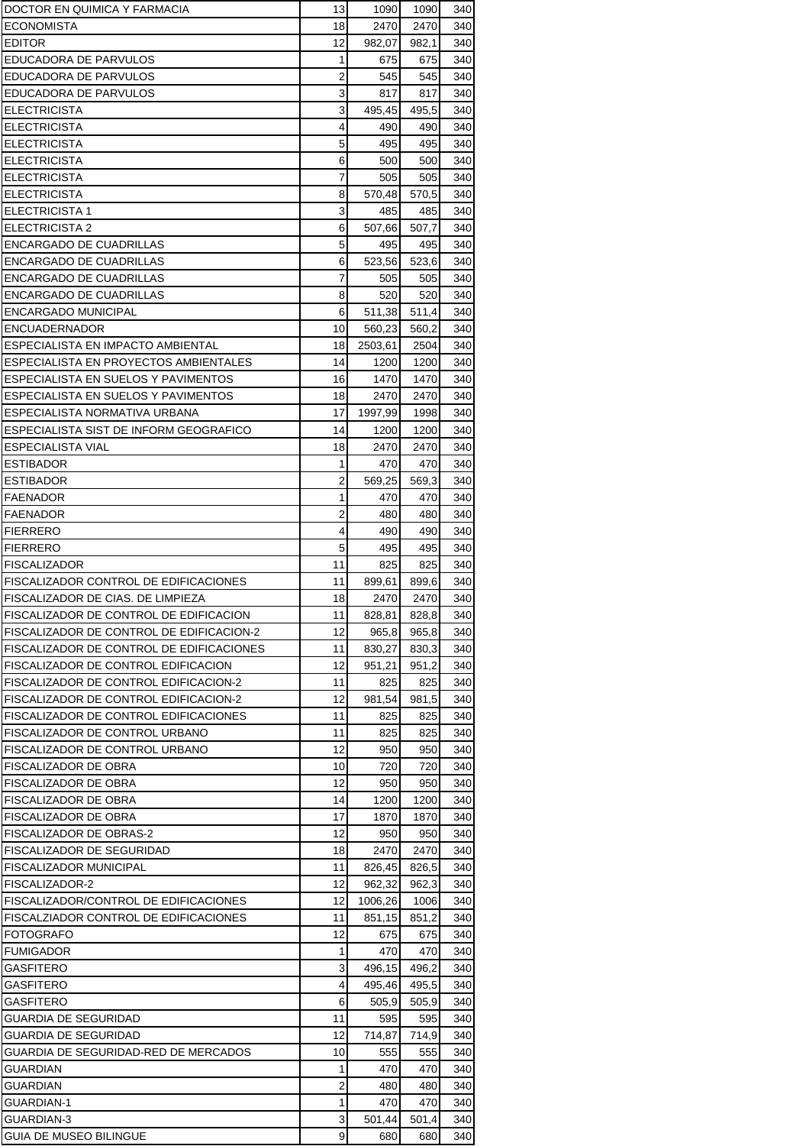| DOCTOR EN QUIMICA Y FARMACIA                 | 13             | 1090    | 1090  | 340 |
|----------------------------------------------|----------------|---------|-------|-----|
| ECONOMISTA                                   | 18             | 2470    | 2470  | 340 |
| <b>EDITOR</b>                                | 12             | 982,07  | 982,1 | 340 |
| EDUCADORA DE PARVULOS                        | 1              | 675     | 675   | 340 |
| EDUCADORA DE PARVULOS                        | 2              | 545     | 545   | 340 |
| EDUCADORA DE PARVULOS                        | 3              | 817     | 817   | 340 |
| <b>ELECTRICISTA</b>                          | 3              | 495,45  | 495,5 | 340 |
| <b>ELECTRICISTA</b>                          | 4              | 490     | 490   | 340 |
| <b>ELECTRICISTA</b>                          | 5              | 495     | 495   | 340 |
| <b>ELECTRICISTA</b>                          | 6              | 500     | 500   | 340 |
| <b>ELECTRICISTA</b>                          | $\overline{7}$ | 505     | 505   | 340 |
| <b>ELECTRICISTA</b>                          | 8              | 570,48  | 570,5 | 340 |
| <b>ELECTRICISTA 1</b>                        | 3              | 485     | 485   | 340 |
| <b>ELECTRICISTA 2</b>                        | 6              | 507,66  | 507,7 | 340 |
| ENCARGADO DE CUADRILLAS                      | 5              | 495     | 495   | 340 |
| ENCARGADO DE CUADRILLAS                      | 6              | 523,56  | 523,6 | 340 |
| <b>ENCARGADO DE CUADRILLAS</b>               | 7              | 505     | 505   | 340 |
| ENCARGADO DE CUADRILLAS                      | 8              | 520     | 520   | 340 |
| ENCARGADO MUNICIPAL                          | 6              | 511,38  | 511,4 | 340 |
| ENCUADERNADOR                                | 10             | 560,23  | 560,2 | 340 |
| ESPECIALISTA EN IMPACTO AMBIENTAL            | 18             | 2503,61 | 2504  | 340 |
| ESPECIALISTA EN PROYECTOS AMBIENTALES        | 14             | 1200    | 1200  | 340 |
| ESPECIALISTA EN SUELOS Y PAVIMENTOS          | 16             | 1470    | 1470  | 340 |
| ESPECIALISTA EN SUELOS Y PAVIMENTOS          | 18             | 2470    | 2470  | 340 |
| ESPECIALISTA NORMATIVA URBANA                | 17             | 1997,99 | 1998  | 340 |
| ESPECIALISTA SIST DE INFORM GEOGRAFICO       | 14             | 1200    | 1200  | 340 |
| <b>ESPECIALISTA VIAL</b>                     | 18             | 2470    | 2470  | 340 |
| <b>ESTIBADOR</b>                             | 1              | 470     | 470   | 340 |
| <b>ESTIBADOR</b>                             | 2              | 569,25  | 569,3 | 340 |
| FAENADOR                                     | 1              | 470     | 470   | 340 |
| FAENADOR                                     | $\overline{2}$ | 480     | 480   | 340 |
| <b>FIERRERO</b>                              | 4              | 490     | 490   | 340 |
| <b>FIERRERO</b>                              | 5              | 495     | 495   | 340 |
| <b>FISCALIZADOR</b>                          | 11             | 825     | 825   | 340 |
| FISCALIZADOR CONTROL DE EDIFICACIONES        | 11             | 899,61  | 899,6 | 340 |
| FISCALIZADOR DE CIAS. DE LIMPIEZA            | 18             | 2470    | 2470  | 340 |
| FISCALIZADOR DE CONTROL DE EDIFICACION       | 11             | 828,81  | 828,8 | 340 |
| FISCALIZADOR DE CONTROL DE EDIFICACION-2     | 12             | 965,8   | 965,8 | 340 |
| FISCALIZADOR DE CONTROL DE EDIFICACIONES     | 11             | 830,27  | 830,3 | 340 |
| FISCALIZADOR DE CONTROL EDIFICACION          | 12             | 951,21  | 951,2 | 340 |
| FISCALIZADOR DE CONTROL EDIFICACION-2        | 11             | 825     | 825   | 340 |
| <b>FISCALIZADOR DE CONTROL EDIFICACION-2</b> | 12             | 981,54  | 981.5 | 340 |
| <b>FISCALIZADOR DE CONTROL EDIFICACIONES</b> | 11             | 825     | 825   | 340 |
| FISCALIZADOR DE CONTROL URBANO               | 11             | 825     | 825   | 340 |
| FISCALIZADOR DE CONTROL URBANO               | 12             | 950     | 950   | 340 |
| FISCALIZADOR DE OBRA                         | 10             | 720     | 720   | 340 |
| FISCALIZADOR DE OBRA                         | 12             | 950     | 950   | 340 |
| FISCALIZADOR DE OBRA                         | 14             | 1200    | 1200  | 340 |
| FISCALIZADOR DE OBRA                         | 17             | 1870    | 1870  | 340 |
| FISCALIZADOR DE OBRAS-2                      | 12             | 950     | 950   | 340 |
| FISCALIZADOR DE SEGURIDAD                    | 18             | 2470    | 2470  | 340 |
| FISCALIZADOR MUNICIPAL                       | 11             | 826,45  | 826,5 | 340 |
| FISCALIZADOR-2                               | 12             | 962,32  | 962,3 | 340 |
| FISCALIZADOR/CONTROL DE EDIFICACIONES        | 12             | 1006,26 | 1006  | 340 |
| FISCALZIADOR CONTROL DE EDIFICACIONES        | 11             | 851,15  | 851,2 | 340 |
| <b>FOTOGRAFO</b>                             | 12             | 675     | 675   | 340 |
| <b>FUMIGADOR</b>                             | 1              | 470     | 470   | 340 |
| GASFITERO                                    | 3              | 496,15  | 496,2 | 340 |
| GASFITERO                                    | 4              | 495,46  | 495,5 | 340 |
| GASFITERO                                    | 6              | 505,9   | 505,9 | 340 |
| GUARDIA DE SEGURIDAD                         | 11             | 595     | 595   | 340 |
| GUARDIA DE SEGURIDAD                         | 12             | 714,87  | 714,9 | 340 |
| GUARDIA DE SEGURIDAD-RED DE MERCADOS         | 10             | 555     | 555   | 340 |
| GUARDIAN                                     | 1              | 470     | 470   | 340 |
| GUARDIAN                                     | 2              | 480     | 480   | 340 |
| GUARDIAN-1                                   | 1              | 470     | 470   | 340 |
| GUARDIAN-3                                   | 3              | 501,44  | 501,4 | 340 |
| GUIA DE MUSEO BILINGUE                       | 9              | 680     | 680   | 340 |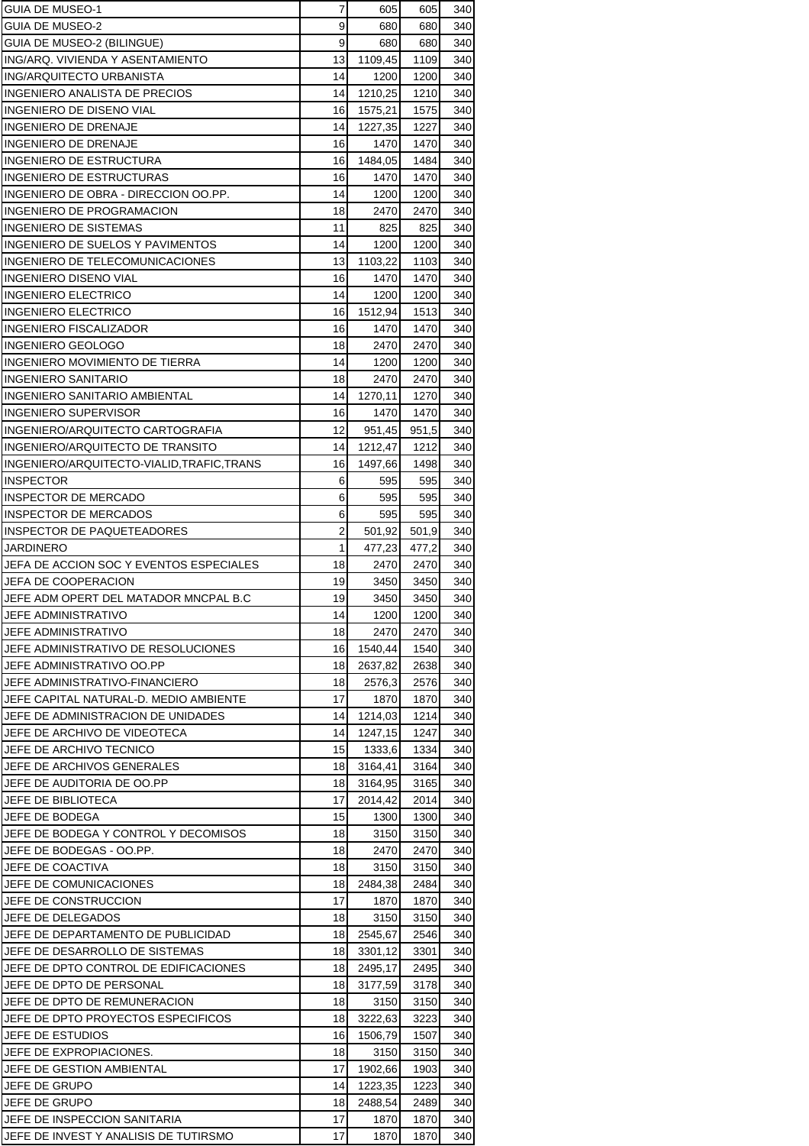| <b>GUIA DE MUSEO-1</b>                             | 7              | 605             | 605          | 340        |
|----------------------------------------------------|----------------|-----------------|--------------|------------|
| GUIA DE MUSEO-2                                    | 9              | 680             | 680          | 340        |
| GUIA DE MUSEO-2 (BILINGUE)                         | 9              | 680             | 680          | 340        |
| ING/ARQ. VIVIENDA Y ASENTAMIENTO                   | 13             | 1109,45         | 1109         | 340        |
| ING/ARQUITECTO URBANISTA                           | 14             | 1200            | 1200         | 340        |
| INGENIERO ANALISTA DE PRECIOS                      | 14             | 1210,25         | 1210         | 340        |
| INGENIERO DE DISENO VIAL                           | 16             | 1575,21         | 1575         | 340        |
| INGENIERO DE DRENAJE                               | 14             | 1227,35         | 1227         | 340        |
| <b>INGENIERO DE DRENAJE</b>                        | 16             | 1470            | 1470         | 340        |
| <b>INGENIERO DE ESTRUCTURA</b>                     | 16             | 1484,05         | 1484         | 340        |
| <b>INGENIERO DE ESTRUCTURAS</b>                    | 16             | 1470            | 1470         | 340        |
| INGENIERO DE OBRA - DIRECCION OO.PP.               | 14             | 1200            | 1200         | 340        |
| INGENIERO DE PROGRAMACION<br>INGENIERO DE SISTEMAS | 18<br>11       | 2470<br>825     | 2470<br>825  | 340<br>340 |
| INGENIERO DE SUELOS Y PAVIMENTOS                   | 14             | 1200            | 1200         | 340        |
| INGENIERO DE TELECOMUNICACIONES                    | 13             | 1103,22         | 1103         | 340        |
| <b>INGENIERO DISENO VIAL</b>                       | 16             | 1470            | 1470         | 340        |
| <b>INGENIERO ELECTRICO</b>                         | 14             | 1200            | 1200         | 340        |
| <b>INGENIERO ELECTRICO</b>                         | 16             | 1512,94         | 1513         | 340        |
| INGENIERO FISCALIZADOR                             | 16             | 1470            | 1470         | 340        |
| INGENIERO GEOLOGO                                  | 18             | 2470            | 2470         | 340        |
| INGENIERO MOVIMIENTO DE TIERRA                     | 14             | 1200            | 1200         | 340        |
| <b>INGENIERO SANITARIO</b>                         | 18             | 2470            | 2470         | 340        |
| <b>INGENIERO SANITARIO AMBIENTAL</b>               | 14             | 1270,11         | 1270         | 340        |
| <b>INGENIERO SUPERVISOR</b>                        | 16             | 1470            | 1470         | 340        |
| INGENIERO/ARQUITECTO CARTOGRAFIA                   | 12             | 951,45          | 951,5        | 340        |
| INGENIERO/ARQUITECTO DE TRANSITO                   | 14             | 1212,47         | 1212         | 340        |
| INGENIERO/ARQUITECTO-VIALID, TRAFIC, TRANS         | 16             | 1497,66         | 1498         | 340        |
| <b>INSPECTOR</b>                                   | 6              | 595             | 595          | 340        |
| <b>INSPECTOR DE MERCADO</b>                        | 6              | 595             | 595          | 340        |
| INSPECTOR DE MERCADOS                              | 6              | 595             | 595          | 340        |
| INSPECTOR DE PAQUETEADORES                         | $\overline{2}$ | 501,92          | 501,9        | 340        |
| JARDINERO                                          | $\mathbf{1}$   | 477,23          | 477,2        | 340        |
| JEFA DE ACCION SOC Y EVENTOS ESPECIALES            | 18             | 2470            | 2470         | 340        |
| <b>JEFA DE COOPERACION</b>                         | 19             | 3450            | 3450         | 340        |
| JEFE ADM OPERT DEL MATADOR MNCPAL B.C              | 19             | 3450            | 3450         | 340        |
| JEFE ADMINISTRATIVO                                | 14             | 1200            | 1200         | 340        |
| JEFE ADMINISTRATIVO                                | 18             | 2470            | 2470         | 340        |
| JEFE ADMINISTRATIVO DE RESOLUCIONES                | 16             | 1540,44         | 1540         | 340        |
| JEFE ADMINISTRATIVO OO.PP                          | 18             | 2637,82         | 2638         | 340        |
| JEFE ADMINISTRATIVO-FINANCIERO                     | 18             | 2576,3          | 2576         | 340        |
| JEFE CAPITAL NATURAL-D. MEDIO AMBIENTE             | 17             | 1870            | 1870         | 340        |
| JEFE DE ADMINISTRACION DE UNIDADES                 | 14             | 1214,03         | 1214         | 340        |
| JEFE DE ARCHIVO DE VIDEOTECA                       | 14             | 1247,15         | 1247         | 340        |
| JEFE DE ARCHIVO TECNICO                            | 15             | 1333,6          | 1334         | 340        |
| JEFE DE ARCHIVOS GENERALES                         | 18             | 3164,41         | 3164         | 340        |
| JEFE DE AUDITORIA DE OO.PP                         | 18             | 3164.95         | 3165         | 340        |
| JEFE DE BIBLIOTECA                                 | 17             | 2014,42         | 2014         | 340        |
| JEFE DE BODEGA                                     | 15             | 1300            | 1300         | 340        |
| JEFE DE BODEGA Y CONTROL Y DECOMISOS               | 18             | 3150            | 3150         | 340        |
| JEFE DE BODEGAS - OO.PP.                           | 18             | 2470            | 2470         | 340        |
| JEFE DE COACTIVA<br>JEFE DE COMUNICACIONES         | 18<br>18       | 3150            | 3150<br>2484 | 340<br>340 |
| JEFE DE CONSTRUCCION                               | 17             | 2484,38<br>1870 | 1870         | 340        |
| JEFE DE DELEGADOS                                  | 18             | 3150            | 3150         | 340        |
| JEFE DE DEPARTAMENTO DE PUBLICIDAD                 | 18             | 2545,67         | 2546         | 340        |
| JEFE DE DESARROLLO DE SISTEMAS                     | 18             | 3301,12         | 3301         | 340        |
| JEFE DE DPTO CONTROL DE EDIFICACIONES              | 18             | 2495,17         | 2495         | 340        |
| JEFE DE DPTO DE PERSONAL                           | 18             | 3177,59         | 3178         | 340        |
| JEFE DE DPTO DE REMUNERACION                       | 18             | 3150            | 3150         | 340        |
| JEFE DE DPTO PROYECTOS ESPECIFICOS                 | 18             | 3222,63         | 3223         | 340        |
| JEFE DE ESTUDIOS                                   | 16             | 1506,79         | 1507         | 340        |
| JEFE DE EXPROPIACIONES.                            | 18             | 3150            | 3150         | 340        |
| JEFE DE GESTION AMBIENTAL                          | 17             | 1902,66         | 1903         | 340        |
| JEFE DE GRUPO                                      |                |                 | 1223         | 340        |
|                                                    | 14             | 1223,35         |              |            |
| JEFE DE GRUPO                                      | 18             | 2488,54         | 2489         | 340        |
| JEFE DE INSPECCION SANITARIA                       | 17             | 1870            | 1870         | 340        |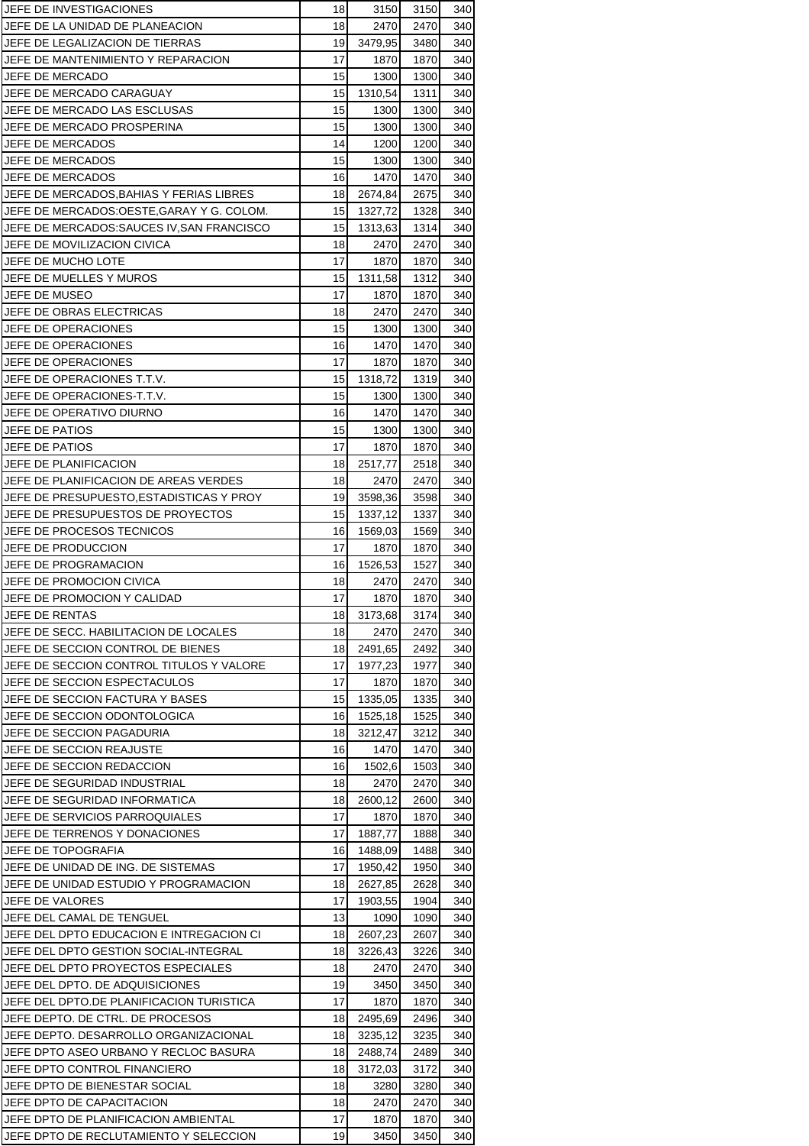| JEFE DE INVESTIGACIONES                  | 18 | 3150    | 3150 | 340 |
|------------------------------------------|----|---------|------|-----|
| JEFE DE LA UNIDAD DE PLANEACION          | 18 | 2470    | 2470 | 340 |
| JEFE DE LEGALIZACION DE TIERRAS          | 19 | 3479,95 | 3480 | 340 |
| JEFE DE MANTENIMIENTO Y REPARACION       | 17 | 1870    | 1870 | 340 |
| JEFE DE MERCADO                          | 15 | 1300    | 1300 | 340 |
| JEFE DE MERCADO CARAGUAY                 | 15 | 1310,54 | 1311 | 340 |
| JEFE DE MERCADO LAS ESCLUSAS             | 15 | 1300    | 1300 | 340 |
| JEFE DE MERCADO PROSPERINA               | 15 | 1300    | 1300 | 340 |
| JEFE DE MERCADOS                         | 14 | 1200    | 1200 | 340 |
| JEFE DE MERCADOS                         | 15 | 1300    | 1300 | 340 |
| JEFE DE MERCADOS                         | 16 | 1470    | 1470 | 340 |
| JEFE DE MERCADOS.BAHIAS Y FERIAS LIBRES  | 18 | 2674,84 | 2675 | 340 |
| JEFE DE MERCADOS:OESTE,GARAY Y G. COLOM. | 15 | 1327,72 | 1328 | 340 |
| JEFE DE MERCADOS:SAUCES IV,SAN FRANCISCO | 15 | 1313,63 | 1314 | 340 |
| JEFE DE MOVILIZACION CIVICA              | 18 | 2470    | 2470 | 340 |
| JEFE DE MUCHO LOTE                       | 17 | 1870    | 1870 | 340 |
| JEFE DE MUELLES Y MUROS                  | 15 | 1311,58 | 1312 | 340 |
| JEFE DE MUSEO                            | 17 | 1870    | 1870 | 340 |
| JEFE DE OBRAS ELECTRICAS                 | 18 | 2470    | 2470 | 340 |
| JEFE DE OPERACIONES                      | 15 | 1300    | 1300 | 340 |
| JEFE DE OPERACIONES                      | 16 | 1470    | 1470 | 340 |
| JEFE DE OPERACIONES                      | 17 | 1870    | 1870 | 340 |
| JEFE DE OPERACIONES T.T.V.               | 15 | 1318,72 | 1319 | 340 |
| JEFE DE OPERACIONES T.T.V.               | 15 | 1300    | 1300 | 340 |
| JEFE DE OPERATIVO DIURNO                 | 16 | 1470    | 1470 | 340 |
| JEFE DE PATIOS                           | 15 | 1300    | 1300 | 340 |
| JEFE DE PATIOS                           | 17 | 1870    | 1870 | 340 |
| JEFE DE PLANIFICACION                    | 18 | 2517,77 | 2518 | 340 |
| JEFE DE PLANIFICACION DE AREAS VERDES    | 18 | 2470    | 2470 | 340 |
| JEFE DE PRESUPUESTO,ESTADISTICAS Y PROY  | 19 | 3598,36 | 3598 | 340 |
| JEFE DE PRESUPUESTOS DE PROYECTOS        | 15 | 1337,12 | 1337 | 340 |
| JEFE DE PROCESOS TECNICOS                | 16 | 1569,03 | 1569 | 340 |
| JEFE DE PRODUCCION                       | 17 | 1870    | 1870 | 340 |
| JEFE DE PROGRAMACION                     | 16 | 1526,53 | 1527 | 340 |
| JEFE DE PROMOCION CIVICA                 | 18 | 2470    | 2470 | 340 |
| JEFE DE PROMOCION Y CALIDAD              | 17 | 1870    | 1870 | 340 |
| JEFE DE RENTAS                           | 18 | 3173,68 | 3174 | 340 |
| JEFE DE SECC. HABILITACION DE LOCALES    | 18 | 2470    | 2470 | 340 |
| JEFE DE SECCION CONTROL DE BIENES        | 18 | 2491.65 | 2492 | 340 |
| JEFE DE SECCION CONTROL TITULOS Y VALORE | 17 | 1977,23 | 1977 | 340 |
| JEFE DE SECCION ESPECTACULOS             | 17 | 1870    | 1870 | 340 |
| JEFE DE SECCION FACTURA Y BASES          | 15 | 1335,05 | 1335 | 340 |
| JEFE DE SECCION ODONTOLOGICA             | 16 | 1525,18 | 1525 | 340 |
| JEFE DE SECCION PAGADURIA                | 18 | 3212,47 | 3212 | 340 |
| JEFE DE SECCION REAJUSTE                 | 16 | 1470    | 1470 | 340 |
| JEFE DE SECCION REDACCION                | 16 | 1502,6  | 1503 | 340 |
| JEFE DE SEGURIDAD INDUSTRIAL             | 18 | 2470    | 2470 | 340 |
| JEFE DE SEGURIDAD INFORMATICA            | 18 | 2600,12 | 2600 | 340 |
| JEFE DE SERVICIOS PARROQUIALES           | 17 | 1870    | 1870 | 340 |
| JEFE DE TERRENOS Y DONACIONES            | 17 | 1887,77 | 1888 | 340 |
| JEFE DE TOPOGRAFIA                       | 16 | 1488,09 | 1488 | 340 |
| JEFE DE UNIDAD DE ING. DE SISTEMAS       | 17 | 1950,42 | 1950 | 340 |
| JEFE DE UNIDAD ESTUDIO Y PROGRAMACION    | 18 | 2627,85 | 2628 | 340 |
| JEFE DE VALORES                          | 17 | 1903,55 | 1904 | 340 |
| JEFE DEL CAMAL DE TENGUEL                | 13 | 1090    | 1090 | 340 |
| JEFE DEL DPTO EDUCACION E INTREGACION CI | 18 | 2607,23 | 2607 | 340 |
| JEFE DEL DPTO GESTION SOCIAL-INTEGRAL    | 18 | 3226,43 | 3226 | 340 |
| JEFE DEL DPTO PROYECTOS ESPECIALES       | 18 | 2470    | 2470 | 340 |
| JEFE DEL DPTO. DE ADQUISICIONES          | 19 | 3450    | 3450 | 340 |
| JEFE DEL DPTO.DE PLANIFICACION TURISTICA | 17 | 1870    | 1870 | 340 |
| JEFE DEPTO. DE CTRL. DE PROCESOS         | 18 | 2495,69 | 2496 | 340 |
| JEFE DEPTO. DESARROLLO ORGANIZACIONAL    | 18 | 3235,12 | 3235 | 340 |
| JEFE DPTO ASEO URBANO Y RECLOC BASURA    | 18 | 2488,74 | 2489 | 340 |
| JEFE DPTO CONTROL FINANCIERO             | 18 | 3172,03 | 3172 | 340 |
| JEFE DPTO DE BIENESTAR SOCIAL            | 18 | 3280    | 3280 | 340 |
| JEFE DPTO DE CAPACITACION                | 18 | 2470    | 2470 | 340 |
| JEFE DPTO DE PLANIFICACION AMBIENTAL     | 17 | 1870    | 1870 | 340 |
| JEFE DPTO DE RECLUTAMIENTO Y SELECCION   | 19 | 3450    | 3450 | 340 |
|                                          |    |         |      |     |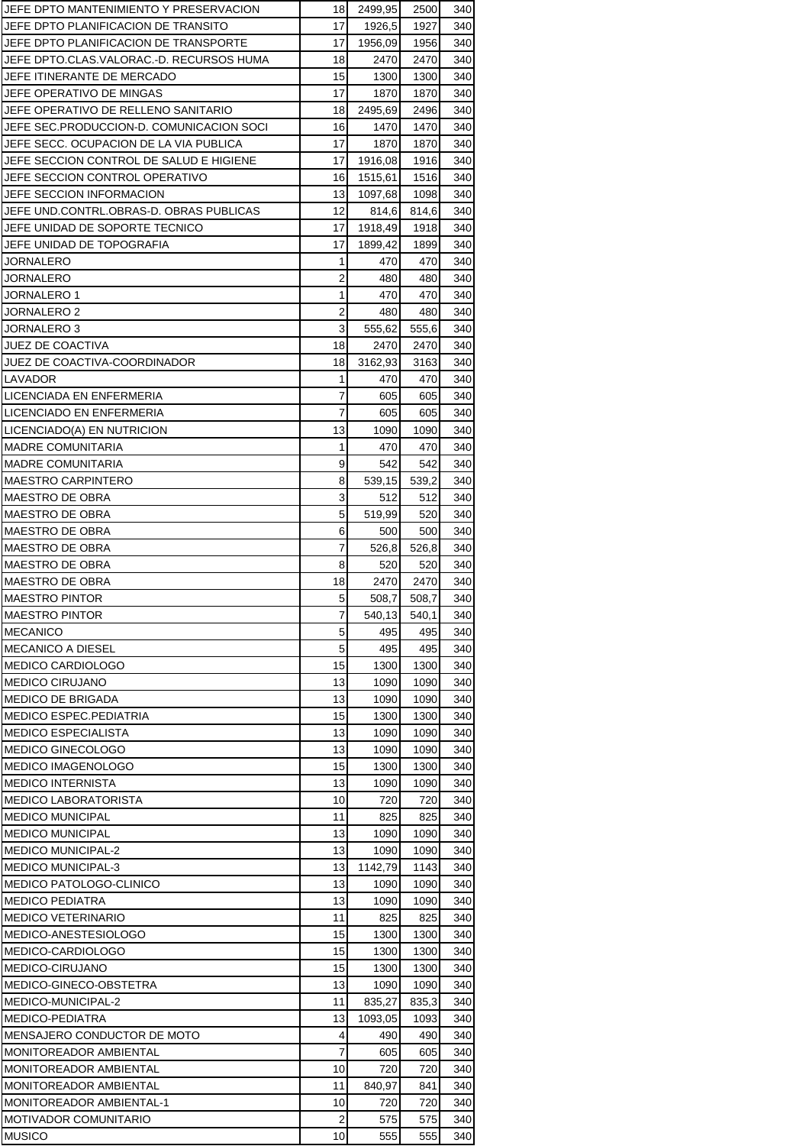| JEFE DPTO MANTENIMIENTO Y PRESERVACION   | 18                      | 2499,95 | 2500  | 340 |
|------------------------------------------|-------------------------|---------|-------|-----|
| JEFE DPTO PLANIFICACION DE TRANSITO      | 17                      | 1926,5  | 1927  | 340 |
| JEFE DPTO PLANIFICACION DE TRANSPORTE    | 17                      | 1956,09 | 1956  | 340 |
| JEFE DPTO.CLAS.VALORAC.-D. RECURSOS HUMA | 18                      | 2470    | 2470  | 340 |
| JEFE ITINERANTE DE MERCADO               | 15                      | 1300    | 1300  | 340 |
| JEFE OPERATIVO DE MINGAS                 | 17                      | 1870    | 1870  | 340 |
| JEFE OPERATIVO DE RELLENO SANITARIO      | 18                      | 2495,69 | 2496  | 340 |
| JEFE SEC.PRODUCCION-D. COMUNICACION SOCI | 16                      | 1470    | 1470  | 340 |
| JEFE SECC. OCUPACION DE LA VIA PUBLICA   | 17                      | 1870    | 1870  | 340 |
| JEFE SECCION CONTROL DE SALUD E HIGIENE  | 17                      | 1916,08 | 1916  | 340 |
| JEFE SECCION CONTROL OPERATIVO           | 16                      | 1515,61 | 1516  | 340 |
| JEFE SECCION INFORMACION                 | 13                      | 1097,68 | 1098  | 340 |
| JEFE UND.CONTRL.OBRAS-D. OBRAS PUBLICAS  | 12                      | 814,6   | 814,6 | 340 |
| JEFE UNIDAD DE SOPORTE TECNICO           | 17                      | 1918,49 | 1918  | 340 |
| JEFE UNIDAD DE TOPOGRAFIA                | 17                      | 1899,42 | 1899  | 340 |
| JORNALERO                                | 1                       | 470     | 470   | 340 |
| JORNALERO                                | $\overline{2}$          | 480     | 480   | 340 |
| <b>JORNALERO 1</b>                       | 1                       | 470     | 470   | 340 |
| JORNALERO 2                              | $\overline{\mathbf{c}}$ | 480     | 480   | 340 |
| JORNALERO 3                              | 3                       | 555,62  | 555,6 | 340 |
| <b>JUEZ DE COACTIVA</b>                  | 18                      | 2470    | 2470  | 340 |
|                                          |                         |         |       |     |
| JUEZ DE COACTIVA-COORDINADOR             | 18                      | 3162,93 | 3163  | 340 |
| LAVADOR                                  | 1                       | 470     | 470   | 340 |
| LICENCIADA EN ENFERMERIA                 | 7                       | 605     | 605   | 340 |
| LICENCIADO EN ENFERMERIA                 | 7                       | 605     | 605   | 340 |
| LICENCIADO(A) EN NUTRICION               | 13                      | 1090    | 1090  | 340 |
| <b>MADRE COMUNITARIA</b>                 | 1                       | 470     | 470   | 340 |
| <b>MADRE COMUNITARIA</b>                 | 9                       | 542     | 542   | 340 |
| <b>MAESTRO CARPINTERO</b>                | 8                       | 539,15  | 539,2 | 340 |
| MAESTRO DE OBRA                          | 3                       | 512     | 512   | 340 |
| MAESTRO DE OBRA                          | 5                       | 519,99  | 520   | 340 |
| <b>MAESTRO DE OBRA</b>                   | 6                       | 500     | 500   | 340 |
| <b>MAESTRO DE OBRA</b>                   | 7                       | 526,8   | 526,8 | 340 |
| <b>MAESTRO DE OBRA</b>                   | 8                       | 520     | 520   | 340 |
| <b>MAESTRO DE OBRA</b>                   | 18                      | 2470    | 2470  | 340 |
| <b>MAESTRO PINTOR</b>                    | 5                       | 508,7   | 508,7 | 340 |
| <b>MAESTRO PINTOR</b>                    | 7                       | 540,13  | 540,1 | 340 |
| <b>MECANICO</b>                          | 5                       | 495     | 495   | 340 |
| <b>MECANICO A DIESEL</b>                 | 5                       | 495     | 495   | 340 |
| <b>MEDICO CARDIOLOGO</b>                 | 15                      | 1300    | 1300  | 340 |
| <b>MEDICO CIRUJANO</b>                   | 13                      | 1090    | 1090  | 340 |
| <b>MEDICO DE BRIGADA</b>                 | 13                      | 1090    | 1090  | 340 |
| <b>MEDICO ESPEC.PEDIATRIA</b>            | 15                      | 1300    | 1300  | 340 |
| <b>MEDICO ESPECIALISTA</b>               | 13                      | 1090    | 1090  | 340 |
| <b>MEDICO GINECOLOGO</b>                 | 13                      | 1090    | 1090  | 340 |
| <b>MEDICO IMAGENOLOGO</b>                | 15                      | 1300    | 1300  | 340 |
| <b>MEDICO INTERNISTA</b>                 | 13                      | 1090    | 1090  | 340 |
| <b>MEDICO LABORATORISTA</b>              | 10                      | 720     | 720   | 340 |
| <b>MEDICO MUNICIPAL</b>                  | 11                      | 825     | 825   | 340 |
| <b>MEDICO MUNICIPAL</b>                  | 13                      | 1090    | 1090  | 340 |
| <b>MEDICO MUNICIPAL-2</b>                | 13                      | 1090    | 1090  | 340 |
|                                          | 13                      |         |       |     |
| <b>MEDICO MUNICIPAL-3</b>                |                         | 1142,79 | 1143  | 340 |
| MEDICO PATOLOGO-CLINICO                  | 13                      | 1090    | 1090  | 340 |
| <b>MEDICO PEDIATRA</b>                   | 13                      | 1090    | 1090  | 340 |
| <b>MEDICO VETERINARIO</b>                | 11                      | 825     | 825   | 340 |
| MEDICO-ANESTESIOLOGO                     | 15                      | 1300    | 1300  | 340 |
| MEDICO-CARDIOLOGO                        | 15                      | 1300    | 1300  | 340 |
| MEDICO-CIRUJANO                          | 15                      | 1300    | 1300  | 340 |
| MEDICO-GINECO-OBSTETRA                   | 13                      | 1090    | 1090  | 340 |
| MEDICO-MUNICIPAL-2                       | 11                      | 835,27  | 835,3 | 340 |
| <b>MEDICO-PEDIATRA</b>                   |                         |         | 1093  | 340 |
|                                          | 13                      | 1093,05 |       |     |
| MENSAJERO CONDUCTOR DE MOTO              | 4                       | 490     | 490   | 340 |
| MONITOREADOR AMBIENTAL                   | 7                       | 605     | 605   | 340 |
| <b>MONITOREADOR AMBIENTAL</b>            | 10                      | 720     | 720   | 340 |
| MONITOREADOR AMBIENTAL                   | 11                      | 840,97  | 841   | 340 |
| <b>MONITOREADOR AMBIENTAL-1</b>          | 10                      | 720     | 720   | 340 |
| <b>MOTIVADOR COMUNITARIO</b>             | 2                       | 575     | 575   | 340 |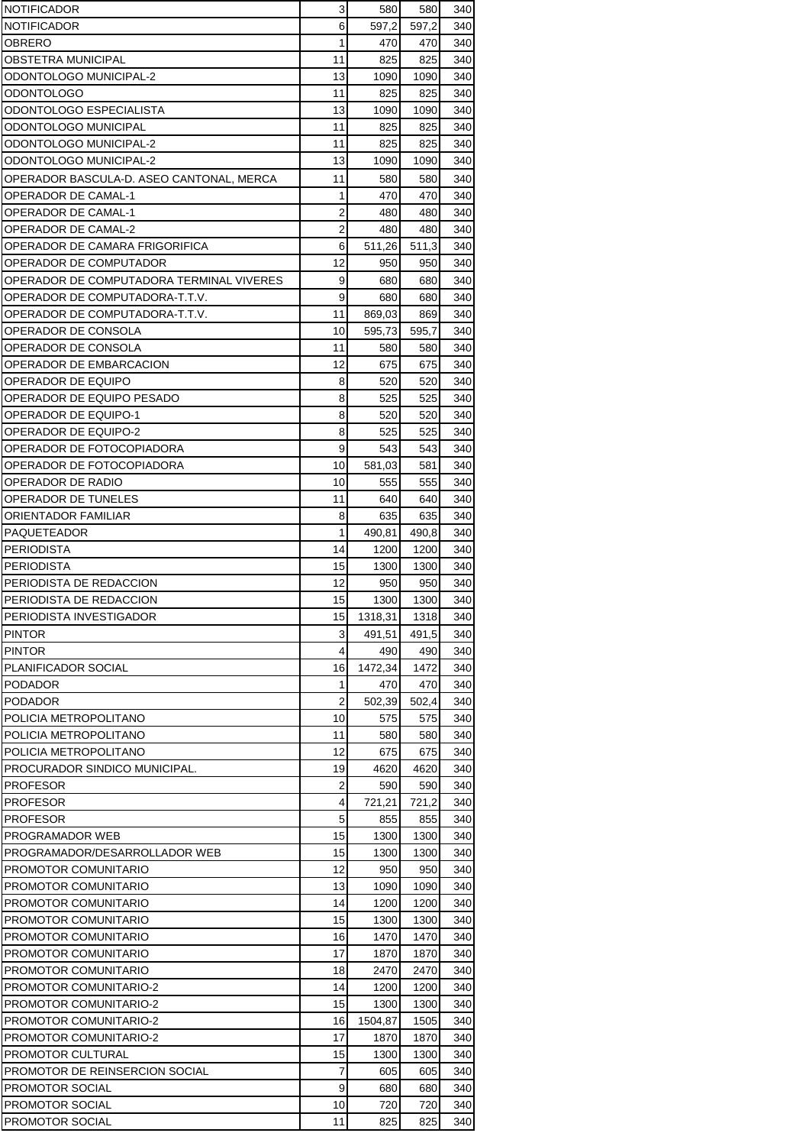| <b>NOTIFICADOR</b>                       | 3              | 580     | 580   | 340 |
|------------------------------------------|----------------|---------|-------|-----|
| <b>NOTIFICADOR</b>                       | 6              | 597,2   | 597,2 | 340 |
| OBRERO                                   | 1              | 470     | 470   | 340 |
| OBSTETRA MUNICIPAL                       | 11             | 825     | 825   | 340 |
| ODONTOLOGO MUNICIPAL-2                   | 13             | 1090    | 1090  | 340 |
| ODONTOLOGO                               | 11             | 825     | 825   | 340 |
| ODONTOLOGO ESPECIALISTA                  | 13             | 1090    | 1090  | 340 |
| ODONTOLOGO MUNICIPAL                     | 11             | 825     | 825   | 340 |
| ODONTOLOGO MUNICIPAL-2                   | 11             | 825     | 825   | 340 |
| ODONTOLOGO MUNICIPAL-2                   | 13             | 1090    | 1090  | 340 |
| OPERADOR BASCULA-D. ASEO CANTONAL, MERCA | 11             | 580     | 580   | 340 |
|                                          |                |         |       |     |
| OPERADOR DE CAMAL-1                      | 1              | 470     | 470   | 340 |
| OPERADOR DE CAMAL-1                      | 2              | 480     | 480   | 340 |
| OPERADOR DE CAMAL-2                      | $\overline{2}$ | 480     | 480   | 340 |
| OPERADOR DE CAMARA FRIGORIFICA           | 6              | 511,26  | 511,3 | 340 |
| OPERADOR DE COMPUTADOR                   | 12             | 950     | 950   | 340 |
| OPERADOR DE COMPUTADORA TERMINAL VIVERES | 9              | 680     | 680   | 340 |
| OPERADOR DE COMPUTADORA T.T.V.           | 9              | 680     | 680   | 340 |
| OPERADOR DE COMPUTADORA T.T.V.           | 11             | 869,03  | 869   | 340 |
| OPERADOR DE CONSOLA                      | 10             | 595,73  | 595,7 | 340 |
| OPERADOR DE CONSOLA                      | 11             | 580     | 580   | 340 |
| OPERADOR DE EMBARCACION                  | 12             | 675     | 675   | 340 |
| OPERADOR DE EQUIPO                       | 8              | 520     | 520   | 340 |
| OPERADOR DE EQUIPO PESADO                | 8              | 525     | 525   | 340 |
| OPERADOR DE EQUIPO-1                     | 8              | 520     | 520   | 340 |
| OPERADOR DE EQUIPO-2                     | 8              | 525     | 525   | 340 |
| OPERADOR DE FOTOCOPIADORA                | 9              | 543     | 543   | 340 |
| OPERADOR DE FOTOCOPIADORA                | 10             | 581,03  | 581   | 340 |
|                                          |                |         |       |     |
| OPERADOR DE RADIO                        | 10             | 555     | 555   | 340 |
| OPERADOR DE TUNELES                      | 11             | 640     | 640   | 340 |
| ORIENTADOR FAMILIAR                      | 8              | 635     | 635   | 340 |
| PAQUETEADOR                              | 1              | 490,81  | 490,8 | 340 |
| <b>PERIODISTA</b>                        | 14             | 1200    | 1200  | 340 |
| <b>PERIODISTA</b>                        | 15             | 1300    | 1300  | 340 |
| PERIODISTA DE REDACCION                  | 12             | 950     | 950   | 340 |
| PERIODISTA DE REDACCION                  | 15             | 1300    | 1300  | 340 |
| PERIODISTA INVESTIGADOR                  | 15             | 1318,31 | 1318  | 340 |
| <b>PINTOR</b>                            | 3              | 491.51  | 491,5 | 340 |
| <b>PINTOR</b>                            | 4              | 490     | 490   | 340 |
| PLANIFICADOR SOCIAL                      | 16             | 1472,34 | 1472  | 340 |
| <b>PODADOR</b>                           | 1              | 470     | 470   | 340 |
| <b>PODADOR</b>                           | $\overline{2}$ | 502,39  | 502,4 | 340 |
| POLICIA METROPOLITANO                    | 10             | 575     | 575   | 340 |
| POLICIA METROPOLITANO                    | 11             | 580     | 580   | 340 |
| POLICIA METROPOLITANO                    | 12             | 675     | 675   | 340 |
| PROCURADOR SINDICO MUNICIPAL.            | 19             | 4620    | 4620  | 340 |
| <b>PROFESOR</b>                          | $\overline{2}$ | 590     | 590   | 340 |
| <b>PROFESOR</b>                          | 4              | 721,21  | 721,2 | 340 |
| <b>PROFESOR</b>                          | $\mathbf 5$    |         | 855   | 340 |
|                                          | 15             | 855     |       |     |
| PROGRAMADOR WEB                          |                | 1300    | 1300  | 340 |
| PROGRAMADOR/DESARROLLADOR WEB            | 15             | 1300    | 1300  | 340 |
| PROMOTOR COMUNITARIO                     | 12             | 950     | 950   | 340 |
| PROMOTOR COMUNITARIO                     | 13             | 1090    | 1090  | 340 |
| PROMOTOR COMUNITARIO                     | 14             | 1200    | 1200  | 340 |
| PROMOTOR COMUNITARIO                     | 15             | 1300    | 1300  | 340 |
| PROMOTOR COMUNITARIO                     | 16             | 1470    | 1470  | 340 |
| PROMOTOR COMUNITARIO                     | 17             | 1870    | 1870  | 340 |
| PROMOTOR COMUNITARIO                     | 18             | 2470    | 2470  | 340 |
| <b>PROMOTOR COMUNITARIO-2</b>            | 14             | 1200    | 1200  | 340 |
| <b>PROMOTOR COMUNITARIO-2</b>            | 15             | 1300    | 1300  | 340 |
| <b>PROMOTOR COMUNITARIO-2</b>            | 16             | 1504,87 | 1505  | 340 |
| <b>PROMOTOR COMUNITARIO-2</b>            | 17             | 1870    | 1870  | 340 |
| PROMOTOR CULTURAL                        | 15             | 1300    | 1300  | 340 |
| PROMOTOR DE REINSERCION SOCIAL           | $\overline{7}$ | 605     | 605   | 340 |
| PROMOTOR SOCIAL                          | 9              | 680     | 680   | 340 |
| PROMOTOR SOCIAL                          | 10             | 720     | 720   | 340 |
| PROMOTOR SOCIAL                          | 11             | 825     | 825   | 340 |
|                                          |                |         |       |     |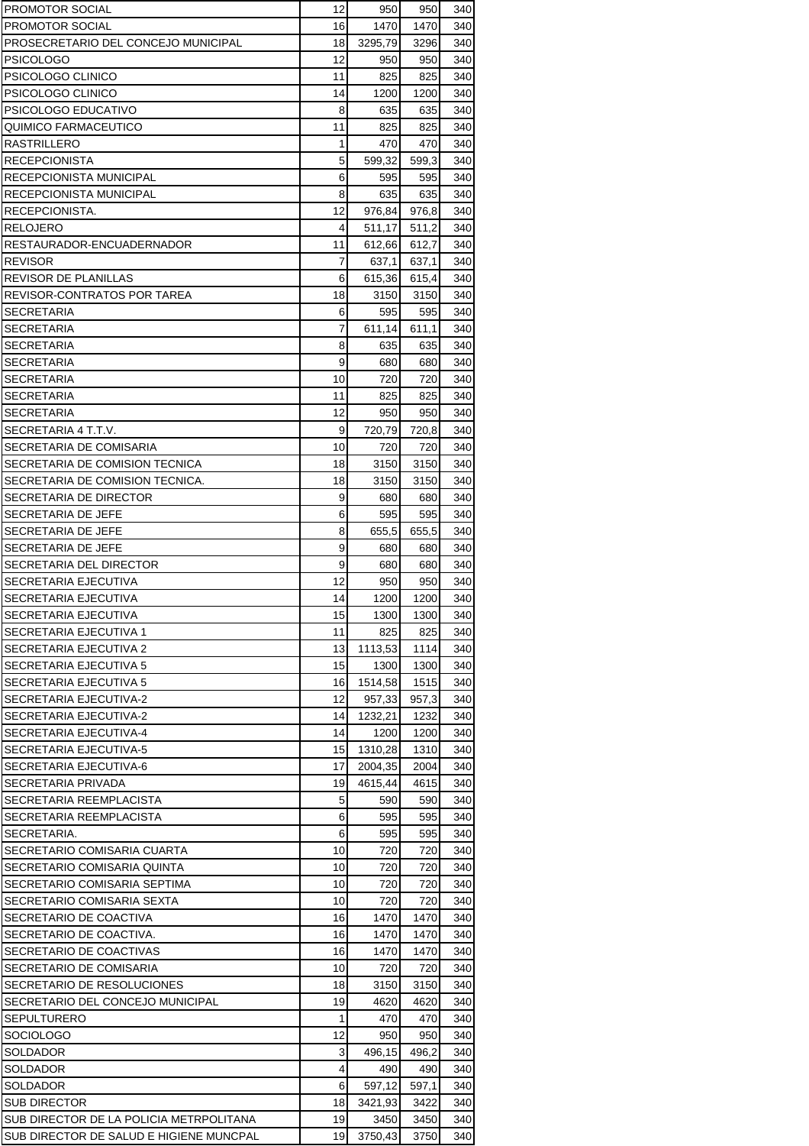| <b>PROMOTOR SOCIAL</b>                  | 12                  | 950           | 950        | 340        |
|-----------------------------------------|---------------------|---------------|------------|------------|
| PROMOTOR SOCIAL                         | 16                  | 1470          | 1470       | 340        |
| PROSECRETARIO DEL CONCEJO MUNICIPAL     | 18                  | 3295,79       | 3296       | 340        |
| PSICOLOGO                               | 12                  | 950           | 950        | 340        |
| PSICOLOGO CLINICO                       | 11                  | 825           | 825        | 340        |
| PSICOLOGO CLINICO                       | 14                  | 1200          | 1200       | 340        |
| PSICOLOGO EDUCATIVO                     | 8                   | 635           | 635        | 340        |
| QUIMICO FARMACEUTICO                    | 11                  | 825           | 825        | 340        |
| RASTRILLERO                             | 1                   | 470           | 470        | 340        |
| <b>RECEPCIONISTA</b>                    | 5                   | 599,32        | 599,3      | 340        |
| RECEPCIONISTA MUNICIPAL                 | 6                   | 595           | 595        | 340        |
| RECEPCIONISTA MUNICIPAL                 | 8                   | 635           | 635        | 340        |
| RECEPCIONISTA.                          | 12                  | 976,84        | 976,8      | 340        |
| RELOJERO                                | 4                   | 511,17        | 511,2      | 340        |
| RESTAURADOR-ENCUADERNADOR               | 11                  | 612,66        | 612,7      | 340        |
| <b>REVISOR</b>                          | 7                   | 637,1         | 637,1      | 340        |
| REVISOR DE PLANILLAS                    | 6                   | 615,36        | 615,4      | 340        |
| REVISOR-CONTRATOS POR TAREA             | 18                  | 3150          | 3150       | 340        |
| SECRETARIA                              | 6<br>$\overline{7}$ | 595           | 595        | 340        |
| SECRETARIA                              |                     | 611,14        | 611,1      | 340        |
| SECRETARIA                              | 8                   | 635           | 635        | 340        |
| SECRETARIA<br><b>SECRETARIA</b>         | 9<br>10             | 680           | 680        | 340        |
| <b>SECRETARIA</b>                       | 11                  | 720<br>825    | 720<br>825 | 340<br>340 |
| <b>SECRETARIA</b>                       | 12                  |               | 950        |            |
| SECRETARIA 4 T.T.V.                     | 9                   | 950<br>720,79 | 720,8      | 340<br>340 |
| SECRETARIA DE COMISARIA                 | 10                  | 720           | 720        | 340        |
| SECRETARIA DE COMISION TECNICA          | 18                  | 3150          | 3150       | 340        |
| SECRETARIA DE COMISION TECNICA.         | 18                  | 3150          | 3150       | 340        |
| SECRETARIA DE DIRECTOR                  | 9                   | 680           | 680        | 340        |
| SECRETARIA DE JEFE                      | 6                   | 595           | 595        | 340        |
| SECRETARIA DE JEFE                      | 8                   | 655,5         | 655,5      | 340        |
| SECRETARIA DE JEFE                      | 9                   | 680           | 680        | 340        |
| SECRETARIA DEL DIRECTOR                 | 9                   | 680           | 680        | 340        |
| SECRETARIA EJECUTIVA                    | 12                  | 950           | 950        | 340        |
| SECRETARIA EJECUTIVA                    | 14                  | 1200          | 1200       | 340        |
| SECRETARIA EJECUTIVA                    | 15                  | 1300          | 1300       | 340        |
| SECRETARIA EJECUTIVA 1                  | 11                  | 825           | 825        | 340        |
| SECRETARIA EJECUTIVA 2                  | 13                  | 1113,53       | 1114       | 340        |
| SECRETARIA EJECUTIVA 5                  | 15                  | 1300          | 1300       | 340        |
| SECRETARIA EJECUTIVA 5                  | 16                  | 1514,58       | 1515       | 340        |
| SECRETARIA EJECUTIVA-2                  | 12                  | 957,33        | 957,3      | 340        |
| SECRETARIA EJECUTIVA-2                  | 14                  | 1232,21       | 1232       | 340        |
| SECRETARIA EJECUTIVA-4                  | 14                  | 1200          | 1200       | 340        |
| SECRETARIA EJECUTIVA-5                  | 15                  | 1310,28       | 1310       | 340        |
| SECRETARIA EJECUTIVA-6                  | 17                  | 2004,35       | 2004       | 340        |
| SECRETARIA PRIVADA                      | 19                  | 4615,44       | 4615       | 340        |
| SECRETARIA REEMPLACISTA                 | 5                   | 590           | 590        | 340        |
| SECRETARIA REEMPLACISTA                 | 6                   | 595           | 595        | 340        |
| SECRETARIA.                             | 6                   | 595           | 595        | 340        |
| SECRETARIO COMISARIA CUARTA             | 10                  | 720           | 720        | 340        |
| SECRETARIO COMISARIA QUINTA             | 10                  | 720           | 720        | 340        |
| SECRETARIO COMISARIA SEPTIMA            | 10                  | 720           | 720        | 340        |
| SECRETARIO COMISARIA SEXTA              | 10                  | 720           | 720        | 340        |
| SECRETARIO DE COACTIVA                  | 16                  | 1470          | 1470       | 340        |
| SECRETARIO DE COACTIVA.                 | 16                  | 1470          | 1470       | 340        |
| SECRETARIO DE COACTIVAS                 | 16                  | 1470          | 1470       | 340        |
| SECRETARIO DE COMISARIA                 | 10                  | 720           | 720        | 340        |
| SECRETARIO DE RESOLUCIONES              | 18                  | 3150          | 3150       | 340        |
| SECRETARIO DEL CONCEJO MUNICIPAL        | 19                  | 4620          | 4620       | 340        |
| SEPULTURERO                             | 1                   | 470           | 470        | 340        |
| SOCIOLOGO                               | 12                  | 950           | 950        | 340        |
| SOLDADOR                                | 3                   | 496,15        | 496,2      | 340        |
| SOLDADOR                                | 4                   | 490           | 490        | 340        |
| SOLDADOR                                | 6                   | 597,12        | 597,1      | 340        |
| <b>SUB DIRECTOR</b>                     | 18                  | 3421,93       | 3422       | 340        |
| SUB DIRECTOR DE LA POLICIA METRPOLITANA | 19                  | 3450          | 3450       | 340        |
| SUB DIRECTOR DE SALUD E HIGIENE MUNCPAL | 19                  | 3750,43       | 3750       | 340        |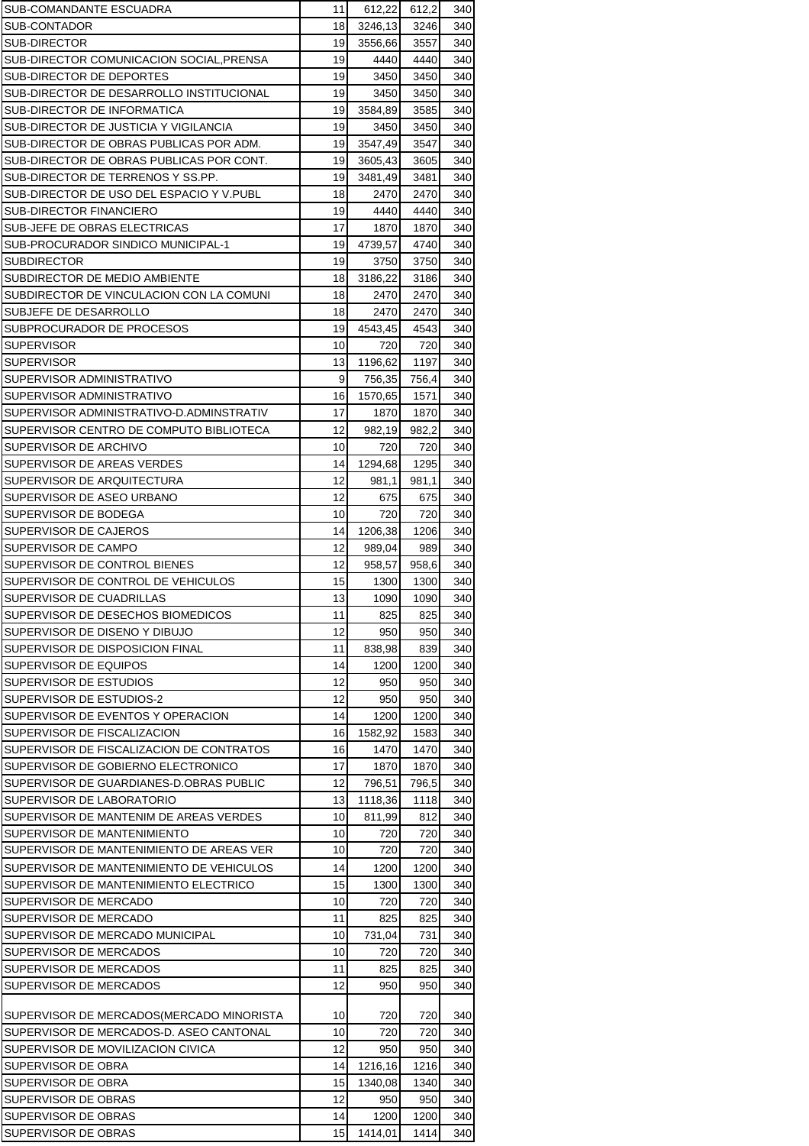| SUB-COMANDANTE ESCUADRA                  | 11 | 612,22  | 612,2 | 340 |
|------------------------------------------|----|---------|-------|-----|
| SUB-CONTADOR                             | 18 | 3246,13 | 3246  | 340 |
| <b>SUB-DIRECTOR</b>                      | 19 | 3556,66 | 3557  | 340 |
| SUB-DIRECTOR COMUNICACION SOCIAL, PRENSA | 19 | 4440    | 4440  | 340 |
| SUB-DIRECTOR DE DEPORTES                 | 19 | 3450    | 3450  | 340 |
| SUB-DIRECTOR DE DESARROLLO INSTITUCIONAL | 19 | 3450    | 3450  | 340 |
| SUB-DIRECTOR DE INFORMATICA              | 19 | 3584,89 | 3585  | 340 |
| SUB-DIRECTOR DE JUSTICIA Y VIGILANCIA    | 19 | 3450    | 3450  | 340 |
| SUB-DIRECTOR DE OBRAS PUBLICAS POR ADM.  | 19 | 3547,49 | 3547  | 340 |
| SUB-DIRECTOR DE OBRAS PUBLICAS POR CONT. | 19 | 3605,43 | 3605  | 340 |
| SUB-DIRECTOR DE TERRENOS Y SS.PP.        | 19 | 3481,49 | 3481  | 340 |
| SUB-DIRECTOR DE USO DEL ESPACIO Y V.PUBL | 18 | 2470    | 2470  | 340 |
| SUB-DIRECTOR FINANCIERO                  | 19 | 4440    | 4440  | 340 |
| SUB-JEFE DE OBRAS ELECTRICAS             | 17 | 1870    | 1870  | 340 |
| SUB-PROCURADOR SINDICO MUNICIPAL-1       | 19 | 4739,57 | 4740  | 340 |
| <b>SUBDIRECTOR</b>                       | 19 | 3750    | 3750  | 340 |
| SUBDIRECTOR DE MEDIO AMBIENTE            | 18 | 3186,22 | 3186  | 340 |
| SUBDIRECTOR DE VINCULACION CON LA COMUNI | 18 | 2470    | 2470  | 340 |
| SUBJEFE DE DESARROLLO                    | 18 | 2470    | 2470  | 340 |
| SUBPROCURADOR DE PROCESOS                | 19 | 4543,45 | 4543  | 340 |
| <b>SUPERVISOR</b>                        | 10 | 720     | 720   | 340 |
| <b>SUPERVISOR</b>                        | 13 | 1196,62 | 1197  | 340 |
| SUPERVISOR ADMINISTRATIVO                | 9  | 756,35  | 756,4 | 340 |
| SUPERVISOR ADMINISTRATIVO                | 16 | 1570,65 | 1571  | 340 |
| SUPERVISOR ADMINISTRATIVO-D.ADMINSTRATIV | 17 | 1870    | 1870  | 340 |
| SUPERVISOR CENTRO DE COMPUTO BIBLIOTECA  | 12 | 982,19  | 982,2 | 340 |
| SUPERVISOR DE ARCHIVO                    | 10 | 720     | 720   | 340 |
| SUPERVISOR DE AREAS VERDES               | 14 | 1294,68 | 1295  | 340 |
| SUPERVISOR DE ARQUITECTURA               | 12 | 981,1   | 981,1 | 340 |
| SUPERVISOR DE ASEO URBANO                | 12 | 675     | 675   | 340 |
| SUPERVISOR DE BODEGA                     | 10 | 720     | 720   | 340 |
| SUPERVISOR DE CAJEROS                    | 14 | 1206,38 | 1206  | 340 |
| SUPERVISOR DE CAMPO                      | 12 | 989,04  | 989   | 340 |
| SUPERVISOR DE CONTROL BIENES             | 12 | 958,57  | 958,6 | 340 |
| SUPERVISOR DE CONTROL DE VEHICULOS       | 15 | 1300    | 1300  | 340 |
| SUPERVISOR DE CUADRILLAS                 | 13 | 1090    | 1090  | 340 |
| SUPERVISOR DE DESECHOS BIOMEDICOS        | 11 | 825     | 825   | 340 |
| SUPERVISOR DE DISENO Y DIBUJO            | 12 | 950     | 950   | 340 |
| SUPERVISOR DE DISPOSICION FINAL          | 11 | 838,98  | 839   | 340 |
| SUPERVISOR DE EQUIPOS                    | 14 | 1200    | 1200  | 340 |
| SUPERVISOR DE ESTUDIOS                   | 12 | 950     | 950   | 340 |
| SUPERVISOR DE ESTUDIOS-2                 | 12 | 950     | 950   | 340 |
| SUPERVISOR DE EVENTOS Y OPERACION        | 14 | 1200    | 1200  | 340 |
| SUPERVISOR DE FISCALIZACION              | 16 | 1582,92 | 1583  | 340 |
| SUPERVISOR DE FISCALIZACION DE CONTRATOS | 16 | 1470    | 1470  | 340 |
| SUPERVISOR DE GOBIERNO ELECTRONICO       | 17 | 1870    | 1870  | 340 |
| SUPERVISOR DE GUARDIANES-D.OBRAS PUBLIC  | 12 | 796,51  | 796,5 | 340 |
| SUPERVISOR DE LABORATORIO                | 13 | 1118,36 | 1118  | 340 |
| SUPERVISOR DE MANTENIM DE AREAS VERDES   | 10 | 811,99  | 812   | 340 |
| SUPERVISOR DE MANTENIMIENTO              | 10 | 720     | 720   | 340 |
| SUPERVISOR DE MANTENIMIENTO DE AREAS VER | 10 | 720     | 720   | 340 |
| SUPERVISOR DE MANTENIMIENTO DE VEHICULOS | 14 | 1200    | 1200  | 340 |
| SUPERVISOR DE MANTENIMIENTO ELECTRICO    | 15 | 1300    | 1300  | 340 |
| SUPERVISOR DE MERCADO                    | 10 | 720     | 720   | 340 |
| SUPERVISOR DE MERCADO                    | 11 | 825     | 825   | 340 |
| SUPERVISOR DE MERCADO MUNICIPAL          | 10 | 731,04  | 731   | 340 |
| SUPERVISOR DE MERCADOS                   | 10 | 720     | 720   | 340 |
| SUPERVISOR DE MERCADOS                   | 11 | 825     | 825   | 340 |
| SUPERVISOR DE MERCADOS                   | 12 | 950     | 950   | 340 |
|                                          |    |         |       |     |
| SUPERVISOR DE MERCADOS(MERCADO MINORISTA | 10 | 720     | 720   | 340 |
| SUPERVISOR DE MERCADOS-D. ASEO CANTONAL  | 10 | 720     | 720   | 340 |
| SUPERVISOR DE MOVILIZACION CIVICA        | 12 | 950     | 950   | 340 |
| SUPERVISOR DE OBRA                       | 14 | 1216,16 | 1216  | 340 |
| SUPERVISOR DE OBRA                       | 15 | 1340,08 | 1340  | 340 |
| SUPERVISOR DE OBRAS                      | 12 | 950     | 950   | 340 |
| SUPERVISOR DE OBRAS                      | 14 | 1200    | 1200  | 340 |
| SUPERVISOR DE OBRAS                      | 15 | 1414,01 | 1414  | 340 |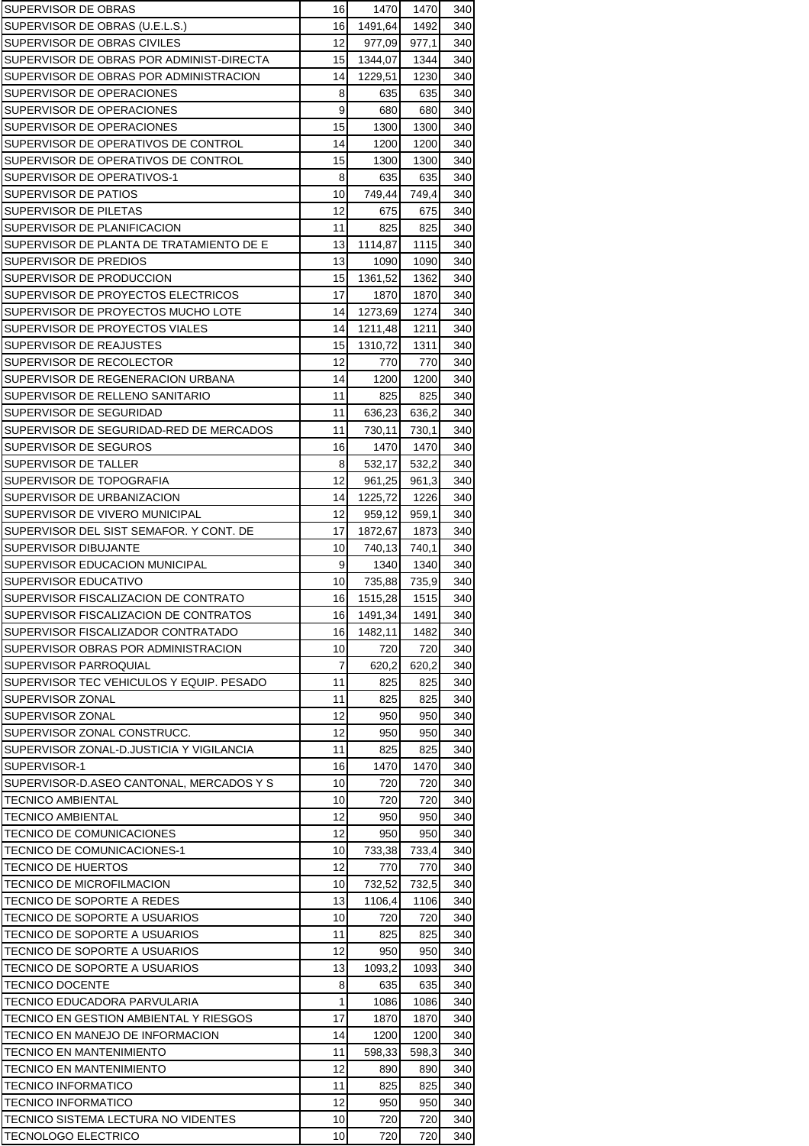| SUPERVISOR DE OBRAS                      | 16 | 1470    | 1470  | 340 |
|------------------------------------------|----|---------|-------|-----|
| SUPERVISOR DE OBRAS (U.E.L.S.)           | 16 | 1491,64 | 1492  | 340 |
| SUPERVISOR DE OBRAS CIVILES              | 12 | 977,09  | 977,1 | 340 |
| SUPERVISOR DE OBRAS POR ADMINIST-DIRECTA | 15 | 1344,07 | 1344  | 340 |
| SUPERVISOR DE OBRAS POR ADMINISTRACION   | 14 | 1229,51 | 1230  | 340 |
| SUPERVISOR DE OPERACIONES                | 8  | 635     | 635   | 340 |
| SUPERVISOR DE OPERACIONES                | 9  | 680     | 680   | 340 |
| SUPERVISOR DE OPERACIONES                | 15 | 1300    | 1300  | 340 |
| SUPERVISOR DE OPERATIVOS DE CONTROL      | 14 | 1200    | 1200  | 340 |
| SUPERVISOR DE OPERATIVOS DE CONTROL      | 15 | 1300    | 1300  | 340 |
| SUPERVISOR DE OPERATIVOS-1               | 8  | 635     | 635   | 340 |
| SUPERVISOR DE PATIOS                     | 10 | 749,44  | 749,4 | 340 |
| SUPERVISOR DE PILETAS                    | 12 | 675     | 675   | 340 |
| SUPERVISOR DE PLANIFICACION              | 11 | 825     | 825   | 340 |
| SUPERVISOR DE PLANTA DE TRATAMIENTO DE E | 13 | 1114,87 | 1115  | 340 |
| SUPERVISOR DE PREDIOS                    | 13 | 1090    | 1090  | 340 |
| SUPERVISOR DE PRODUCCION                 | 15 | 1361,52 | 1362  | 340 |
| SUPERVISOR DE PROYECTOS ELECTRICOS       | 17 | 1870    | 1870  | 340 |
| SUPERVISOR DE PROYECTOS MUCHO LOTE       | 14 | 1273,69 | 1274  | 340 |
| SUPERVISOR DE PROYECTOS VIALES           | 14 | 1211,48 | 1211  | 340 |
| SUPERVISOR DE REAJUSTES                  | 15 | 1310,72 | 1311  | 340 |
| SUPERVISOR DE RECOLECTOR                 | 12 | 770     | 770   | 340 |
| SUPERVISOR DE REGENERACION URBANA        | 14 | 1200    | 1200  | 340 |
| SUPERVISOR DE RELLENO SANITARIO          | 11 | 825     | 825   | 340 |
| SUPERVISOR DE SEGURIDAD                  | 11 | 636,23  | 636,2 | 340 |
| SUPERVISOR DE SEGURIDAD-RED DE MERCADOS  | 11 | 730,11  | 730,1 | 340 |
| SUPERVISOR DE SEGUROS                    | 16 | 1470    | 1470  | 340 |
| SUPERVISOR DE TALLER                     | 8  |         |       | 340 |
|                                          |    | 532,17  | 532,2 |     |
| SUPERVISOR DE TOPOGRAFIA                 | 12 | 961,25  | 961,3 | 340 |
| SUPERVISOR DE URBANIZACION               | 14 | 1225,72 | 1226  | 340 |
| SUPERVISOR DE VIVERO MUNICIPAL           | 12 | 959,12  | 959,1 | 340 |
| SUPERVISOR DEL SIST SEMAFOR. Y CONT. DE  | 17 | 1872,67 | 1873  | 340 |
| SUPERVISOR DIBUJANTE                     | 10 | 740,13  | 740,1 | 340 |
| SUPERVISOR EDUCACION MUNICIPAL           | 9  | 1340    | 1340  | 340 |
| SUPERVISOR EDUCATIVO                     | 10 | 735,88  | 735,9 | 340 |
| SUPERVISOR FISCALIZACION DE CONTRATO     | 16 | 1515,28 | 1515  | 340 |
| SUPERVISOR FISCALIZACION DE CONTRATOS    | 16 | 1491,34 | 1491  | 340 |
| SUPERVISOR FISCALIZADOR CONTRATADO       | 16 | 1482,11 | 1482  | 340 |
| SUPERVISOR OBRAS POR ADMINISTRACION      | 10 | 720     | 720   | 340 |
| SUPERVISOR PARROQUIAL                    | 7  | 620.2   | 620.2 | 340 |
| SUPERVISOR TEC VEHICULOS Y EQUIP. PESADO | 11 | 825     | 825   | 340 |
| SUPERVISOR ZONAL                         | 11 | 825     | 825   | 340 |
| SUPERVISOR ZONAL                         | 12 | 950     | 950   | 340 |
| SUPERVISOR ZONAL CONSTRUCC.              | 12 | 950     | 950   | 340 |
| SUPERVISOR ZONAL-D.JUSTICIA Y VIGILANCIA | 11 | 825     | 825   | 340 |
| SUPERVISOR-1                             | 16 | 1470    | 1470  | 340 |
| SUPERVISOR-D.ASEO CANTONAL. MERCADOS Y S | 10 | 720     | 720   | 340 |
| TECNICO AMBIENTAL                        | 10 | 720     | 720   | 340 |
| <b>TECNICO AMBIENTAL</b>                 | 12 | 950     | 950   | 340 |
| TECNICO DE COMUNICACIONES                | 12 | 950     | 950   | 340 |
| <b>TECNICO DE COMUNICACIONES-1</b>       | 10 | 733,38  | 733,4 | 340 |
| TECNICO DE HUERTOS                       | 12 | 770     | 770   | 340 |
| TECNICO DE MICROFILMACION                | 10 | 732,52  | 732,5 | 340 |
| TECNICO DE SOPORTE A REDES               | 13 | 1106,4  | 1106  | 340 |
| TECNICO DE SOPORTE A USUARIOS            | 10 | 720     | 720   | 340 |
| TECNICO DE SOPORTE A USUARIOS            | 11 | 825     | 825   | 340 |
| TECNICO DE SOPORTE A USUARIOS            | 12 | 950     | 950   | 340 |
| TECNICO DE SOPORTE A USUARIOS            | 13 | 1093,2  | 1093  | 340 |
| <b>TECNICO DOCENTE</b>                   | 8  | 635     | 635   | 340 |
| TECNICO EDUCADORA PARVULARIA             | 1  | 1086    | 1086  | 340 |
| TECNICO EN GESTION AMBIENTAL Y RIESGOS   | 17 | 1870    | 1870  | 340 |
| TECNICO EN MANEJO DE INFORMACION         | 14 | 1200    | 1200  | 340 |
| TECNICO EN MANTENIMIENTO                 | 11 | 598,33  | 598,3 | 340 |
| TECNICO EN MANTENIMIENTO                 | 12 | 890     | 890   | 340 |
| <b>TECNICO INFORMATICO</b>               | 11 | 825     | 825   | 340 |
| <b>TECNICO INFORMATICO</b>               | 12 | 950     | 950   | 340 |
| TECNICO SISTEMA LECTURA NO VIDENTES      | 10 | 720     | 720   | 340 |
| <b>TECNOLOGO ELECTRICO</b>               | 10 | 720     | 720   | 340 |
|                                          |    |         |       |     |